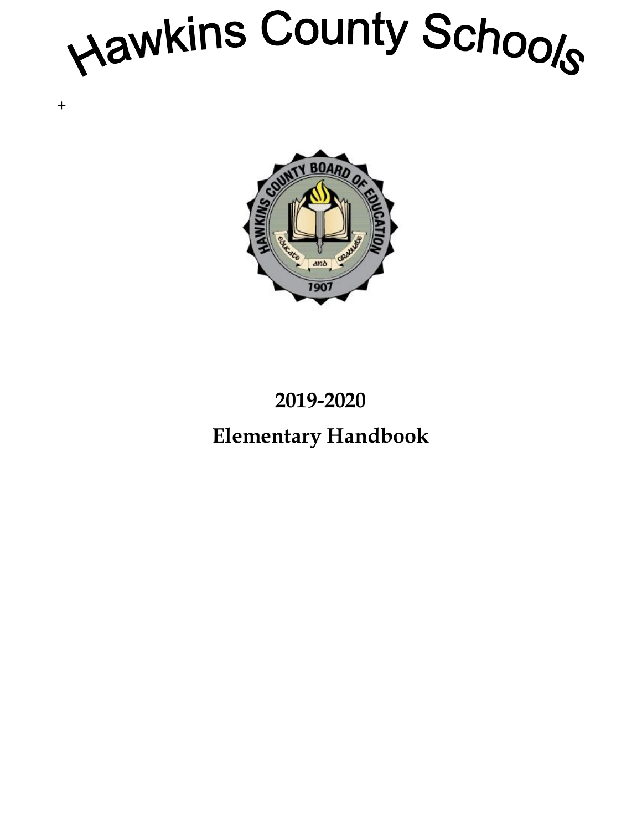Hawkins County Schools

+



## **2019-2020 Elementary Handbook**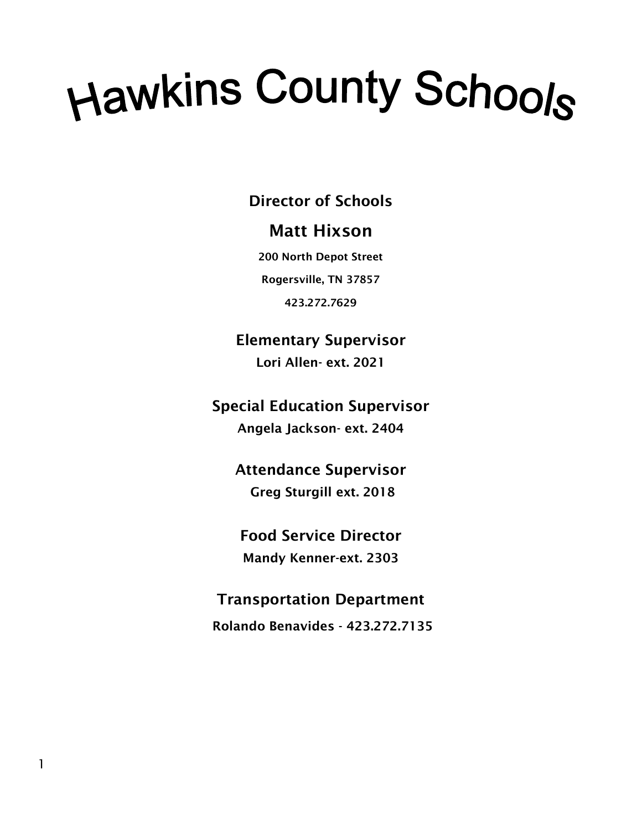# Hawkins County Schools

**Director of Schools**

## **Matt Hixson**

**200 North Depot Street Rogersville, TN 37857**

**423.272.7629**

**Elementary Supervisor Lori Allen- ext. 2021**

**Special Education Supervisor Angela Jackson- ext. 2404**

> **Attendance Supervisor Greg Sturgill ext. 2018**

**Food Service Director Mandy Kenner-ext. 2303**

**Transportation Department Rolando Benavides - 423.272.7135**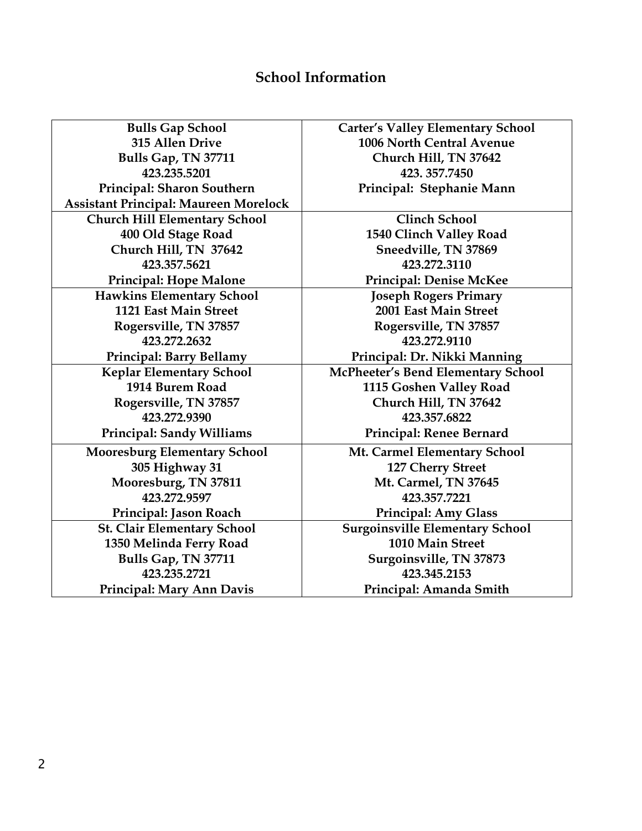## **School Information**

| <b>Bulls Gap School</b>                      | <b>Carter's Valley Elementary School</b> |
|----------------------------------------------|------------------------------------------|
| 315 Allen Drive                              | 1006 North Central Avenue                |
| Bulls Gap, TN 37711                          | Church Hill, TN 37642                    |
| 423.235.5201                                 | 423.357.7450                             |
| Principal: Sharon Southern                   | Principal: Stephanie Mann                |
| <b>Assistant Principal: Maureen Morelock</b> |                                          |
| <b>Church Hill Elementary School</b>         | <b>Clinch School</b>                     |
| 400 Old Stage Road                           | 1540 Clinch Valley Road                  |
| Church Hill, TN 37642                        | Sneedville, TN 37869                     |
| 423.357.5621                                 | 423.272.3110                             |
| <b>Principal: Hope Malone</b>                | <b>Principal: Denise McKee</b>           |
| <b>Hawkins Elementary School</b>             | <b>Joseph Rogers Primary</b>             |
| 1121 East Main Street                        | 2001 East Main Street                    |
| Rogersville, TN 37857                        | Rogersville, TN 37857                    |
| 423.272.2632                                 | 423.272.9110                             |
| Principal: Barry Bellamy                     | Principal: Dr. Nikki Manning             |
| <b>Keplar Elementary School</b>              | McPheeter's Bend Elementary School       |
| 1914 Burem Road                              | 1115 Goshen Valley Road                  |
| Rogersville, TN 37857                        | Church Hill, TN 37642                    |
| 423.272.9390                                 | 423.357.6822                             |
| Principal: Sandy Williams                    | Principal: Renee Bernard                 |
| <b>Mooresburg Elementary School</b>          | Mt. Carmel Elementary School             |
| 305 Highway 31                               | 127 Cherry Street                        |
| Mooresburg, TN 37811                         | Mt. Carmel, TN 37645                     |
| 423.272.9597                                 | 423.357.7221                             |
| Principal: Jason Roach                       | Principal: Amy Glass                     |
| <b>St. Clair Elementary School</b>           | <b>Surgoinsville Elementary School</b>   |
| 1350 Melinda Ferry Road                      | 1010 Main Street                         |
| Bulls Gap, TN 37711                          | Surgoinsville, TN 37873                  |
| 423.235.2721                                 | 423.345.2153                             |
| Principal: Mary Ann Davis                    | Principal: Amanda Smith                  |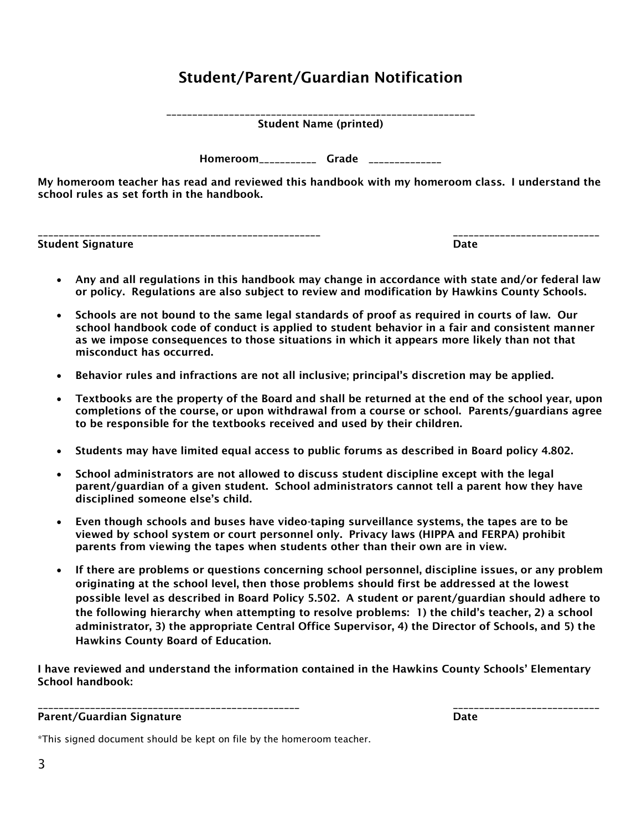## **Student/Parent/Guardian Notification**

**\_\_\_\_\_\_\_\_\_\_\_\_\_\_\_\_\_\_\_\_\_\_\_\_\_\_\_\_\_\_\_\_\_\_\_\_\_\_\_\_\_\_\_\_\_\_\_\_\_\_\_\_\_\_\_\_\_\_\_ Student Name (printed)**

**Homeroom\_\_\_\_\_\_\_\_\_\_\_ Grade \_\_\_\_\_\_\_\_\_\_\_\_\_\_**

**My homeroom teacher has read and reviewed this handbook with my homeroom class. I understand the school rules as set forth in the handbook.**

**Student Signature Date**

**\_\_\_\_\_\_\_\_\_\_\_\_\_\_\_\_\_\_\_\_\_\_\_\_\_\_\_\_\_\_\_\_\_\_\_\_\_\_\_\_\_\_\_\_\_\_\_\_\_\_\_\_\_\_ \_\_\_\_\_\_\_\_\_\_\_\_\_\_\_\_\_\_\_\_\_\_\_\_\_\_\_\_**

- **Any and all regulations in this handbook may change in accordance with state and/or federal law or policy. Regulations are also subject to review and modification by Hawkins County Schools.**
- **Schools are not bound to the same legal standards of proof as required in courts of law. Our school handbook code of conduct is applied to student behavior in a fair and consistent manner as we impose consequences to those situations in which it appears more likely than not that misconduct has occurred.**
- **Behavior rules and infractions are not all inclusive; principal's discretion may be applied.**
- **Textbooks are the property of the Board and shall be returned at the end of the school year, upon completions of the course, or upon withdrawal from a course or school. Parents/guardians agree to be responsible for the textbooks received and used by their children.**
- **Students may have limited equal access to public forums as described in Board policy 4.802.**
- **School administrators are not allowed to discuss student discipline except with the legal parent/guardian of a given student. School administrators cannot tell a parent how they have disciplined someone else's child.**
- **Even though schools and buses have video-taping surveillance systems, the tapes are to be viewed by school system or court personnel only. Privacy laws (HIPPA and FERPA) prohibit parents from viewing the tapes when students other than their own are in view.**
- **If there are problems or questions concerning school personnel, discipline issues, or any problem originating at the school level, then those problems should first be addressed at the lowest possible level as described in Board Policy 5.502. A student or parent/guardian should adhere to the following hierarchy when attempting to resolve problems: 1) the child's teacher, 2) a school administrator, 3) the appropriate Central Office Supervisor, 4) the Director of Schools, and 5) the Hawkins County Board of Education.**

**I have reviewed and understand the information contained in the Hawkins County Schools' Elementary School handbook:**

**\_\_\_\_\_\_\_\_\_\_\_\_\_\_\_\_\_\_\_\_\_\_\_\_\_\_\_\_\_\_\_\_\_\_\_\_\_\_\_\_\_\_\_\_\_\_\_\_\_\_ \_\_\_\_\_\_\_\_\_\_\_\_\_\_\_\_\_\_\_\_\_\_\_\_\_\_\_\_ Parent/Guardian Signature Date**

\*This signed document should be kept on file by the homeroom teacher.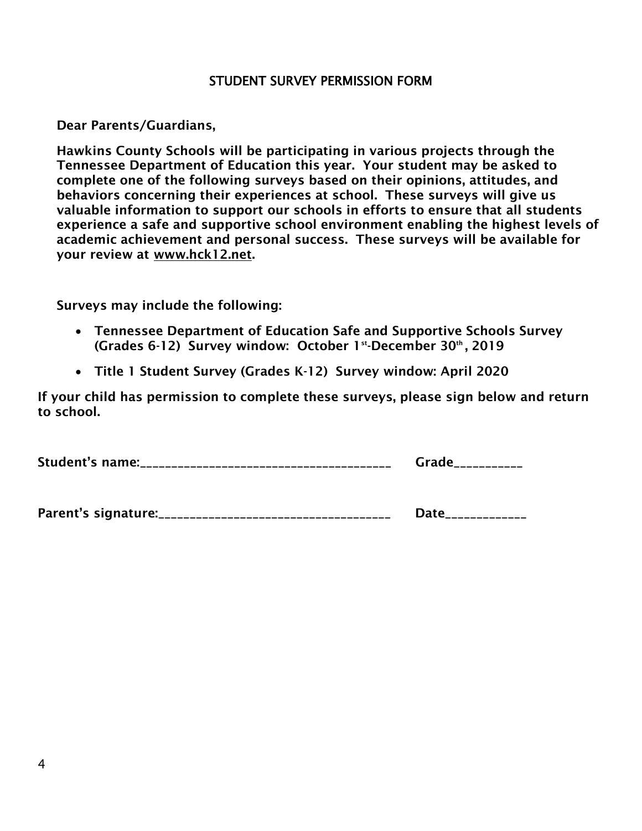#### STUDENT SURVEY PERMISSION FORM

**Dear Parents/Guardians,**

**Hawkins County Schools will be participating in various projects through the Tennessee Department of Education this year. Your student may be asked to complete one of the following surveys based on their opinions, attitudes, and behaviors concerning their experiences at school. These surveys will give us valuable information to support our schools in efforts to ensure that all students experience a safe and supportive school environment enabling the highest levels of academic achievement and personal success. These surveys will be available for your review at [www.hck12.net.](http://www.hck12.net/)** 

**Surveys may include the following:**

- **Tennessee Department of Education Safe and Supportive Schools Survey (Grades 6-12) Survey window: October 1st-December 30th, 2019**
- **Title 1 Student Survey (Grades K-12) Survey window: April 2020**

**If your child has permission to complete these surveys, please sign below and return to school.**

**Student's name:\_\_\_\_\_\_\_\_\_\_\_\_\_\_\_\_\_\_\_\_\_\_\_\_\_\_\_\_\_\_\_\_\_\_\_\_\_\_\_\_ Grade\_\_\_\_\_\_\_\_\_\_\_**

| Parent's signature: | ---------------- |
|---------------------|------------------|
|---------------------|------------------|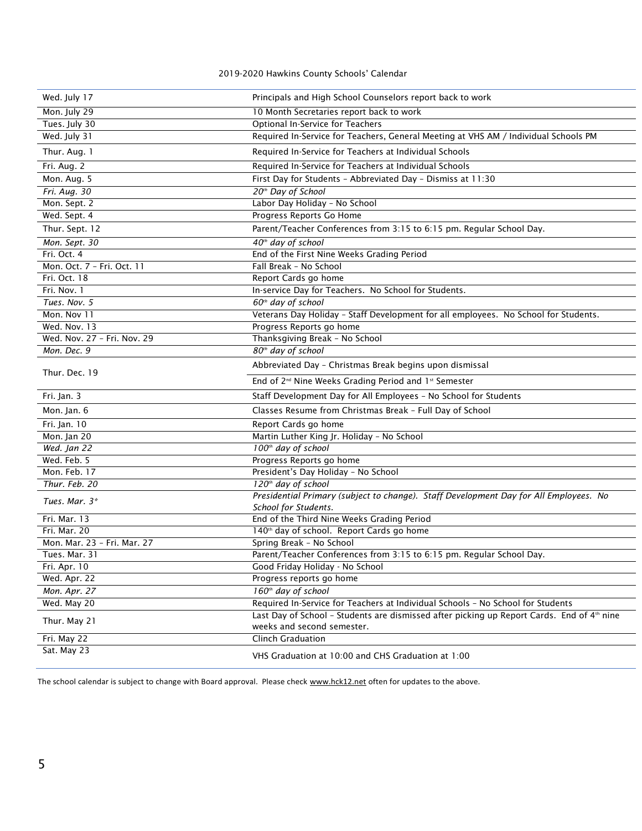#### 2019-2020 Hawkins County Schools' Calendar

| Wed. July 17                | Principals and High School Counselors report back to work                                              |
|-----------------------------|--------------------------------------------------------------------------------------------------------|
| Mon. July 29                | 10 Month Secretaries report back to work                                                               |
| Tues. July 30               | Optional In-Service for Teachers                                                                       |
| Wed. July 31                | Required In-Service for Teachers, General Meeting at VHS AM / Individual Schools PM                    |
| Thur. Aug. 1                | Required In-Service for Teachers at Individual Schools                                                 |
| Fri. Aug. 2                 | Required In-Service for Teachers at Individual Schools                                                 |
| Mon. Aug. 5                 | First Day for Students - Abbreviated Day - Dismiss at 11:30                                            |
| Fri. Aug. 30                | 20 <sup>th</sup> Day of School                                                                         |
| Mon. Sept. 2                | Labor Day Holiday - No School                                                                          |
| Wed. Sept. 4                | Progress Reports Go Home                                                                               |
| Thur. Sept. 12              | Parent/Teacher Conferences from 3:15 to 6:15 pm. Regular School Day.                                   |
| Mon. Sept. 30               | 40 <sup>th</sup> day of school                                                                         |
| Fri. Oct. 4                 | End of the First Nine Weeks Grading Period                                                             |
| Mon. Oct. 7 - Fri. Oct. 11  | Fall Break - No School                                                                                 |
| Fri. Oct. 18                | Report Cards go home                                                                                   |
| Fri. Nov. 1                 | In-service Day for Teachers. No School for Students.                                                   |
| Tues. Nov. 5                | 60 <sup>th</sup> day of school                                                                         |
| Mon. Nov 11                 | Veterans Day Holiday - Staff Development for all employees. No School for Students.                    |
| Wed. Nov. 13                | Progress Reports go home                                                                               |
| Wed. Nov. 27 - Fri. Nov. 29 | Thanksgiving Break - No School                                                                         |
| Mon. Dec. 9                 | 80 <sup>th</sup> day of school                                                                         |
|                             | Abbreviated Day - Christmas Break begins upon dismissal                                                |
| Thur. Dec. 19               |                                                                                                        |
|                             | End of 2 <sup>nd</sup> Nine Weeks Grading Period and 1 <sup>st</sup> Semester                          |
| Fri. Jan. 3                 | Staff Development Day for All Employees - No School for Students                                       |
| Mon. Jan. 6                 | Classes Resume from Christmas Break - Full Day of School                                               |
| Fri. Jan. 10                | Report Cards go home                                                                                   |
| Mon. Jan 20                 | Martin Luther King Jr. Holiday - No School                                                             |
| Wed. Jan 22                 | 100 <sup>th</sup> day of school                                                                        |
| Wed. Feb. 5                 | Progress Reports go home                                                                               |
| Mon. Feb. 17                | President's Day Holiday - No School                                                                    |
| Thur. Feb. 20               | 120 <sup>th</sup> day of school                                                                        |
|                             | Presidential Primary (subject to change). Staff Development Day for All Employees. No                  |
| Tues. Mar. 3*               | School for Students.                                                                                   |
| Fri. Mar. 13                | End of the Third Nine Weeks Grading Period                                                             |
| Fri. Mar. 20                | 140 <sup>th</sup> day of school. Report Cards go home                                                  |
| Mon. Mar. 23 - Fri. Mar. 27 | Spring Break - No School                                                                               |
| Tues. Mar. 31               | Parent/Teacher Conferences from 3:15 to 6:15 pm. Regular School Day.                                   |
| Fri. Apr. 10                | Good Friday Holiday - No School                                                                        |
| Wed. Apr. 22                | Progress reports go home                                                                               |
| Mon. Apr. 27                | 160 <sup>th</sup> day of school                                                                        |
| Wed. May 20                 | Required In-Service for Teachers at Individual Schools - No School for Students                        |
| Thur. May 21                | Last Day of School - Students are dismissed after picking up Report Cards. End of 4 <sup>th</sup> nine |
|                             | weeks and second semester.                                                                             |
| Fri. May 22<br>Sat. May 23  | <b>Clinch Graduation</b>                                                                               |

The school calendar is subject to change with Board approval. Please chec[k www.hck12.net](http://www.hck12.net/) often for updates to the above.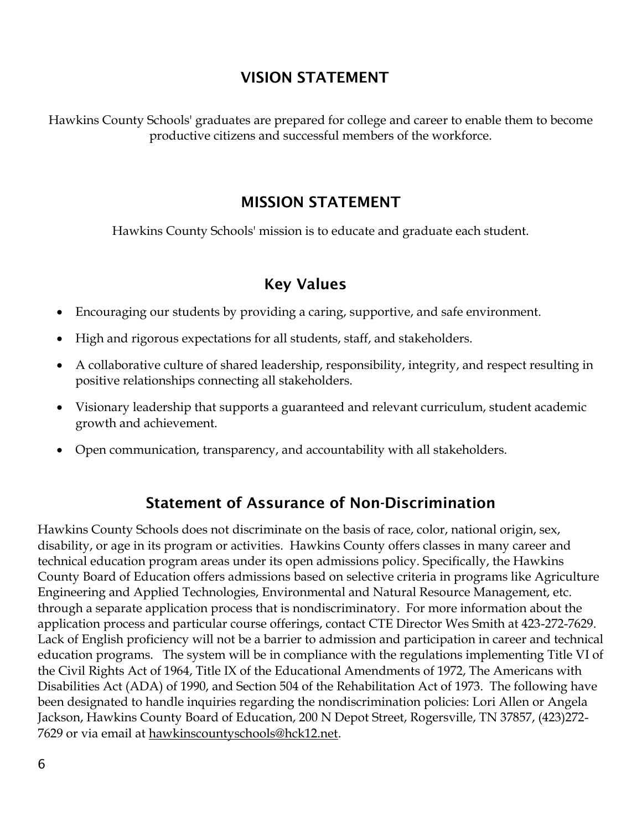## **VISION STATEMENT**

Hawkins County Schools' graduates are prepared for college and career to enable them to become productive citizens and successful members of the workforce.

## **MISSION STATEMENT**

Hawkins County Schools' mission is to educate and graduate each student.

## **Key Values**

- Encouraging our students by providing a caring, supportive, and safe environment.
- High and rigorous expectations for all students, staff, and stakeholders.
- A collaborative culture of shared leadership, responsibility, integrity, and respect resulting in positive relationships connecting all stakeholders.
- Visionary leadership that supports a guaranteed and relevant curriculum, student academic growth and achievement.
- Open communication, transparency, and accountability with all stakeholders.

## **Statement of Assurance of Non-Discrimination**

Hawkins County Schools does not discriminate on the basis of race, color, national origin, sex, disability, or age in its program or activities. Hawkins County offers classes in many career and technical education program areas under its open admissions policy. Specifically, the Hawkins County Board of Education offers admissions based on selective criteria in programs like Agriculture Engineering and Applied Technologies, Environmental and Natural Resource Management, etc. through a separate application process that is nondiscriminatory. For more information about the application process and particular course offerings, contact CTE Director Wes Smith at 423-272-7629. Lack of English proficiency will not be a barrier to admission and participation in career and technical education programs. The system will be in compliance with the regulations implementing Title VI of the Civil Rights Act of 1964, Title IX of the Educational Amendments of 1972, The Americans with Disabilities Act (ADA) of 1990, and Section 504 of the Rehabilitation Act of 1973. The following have been designated to handle inquiries regarding the nondiscrimination policies: Lori Allen or Angela Jackson, Hawkins County Board of Education, 200 N Depot Street, Rogersville, TN 37857, (423)272- 7629 or via email at [hawkinscountyschools@hck12.net.](mailto:hawkinscountyschools@hck12.net)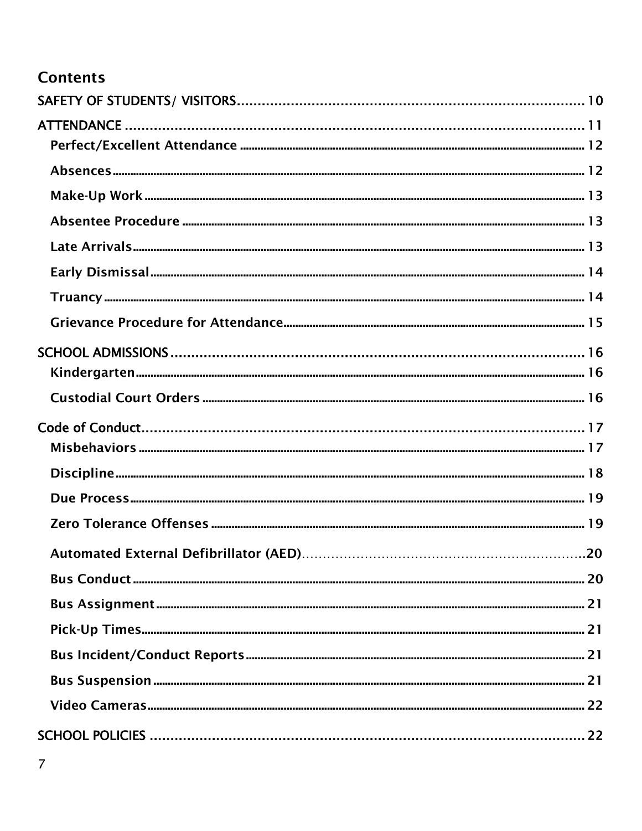## **Contents**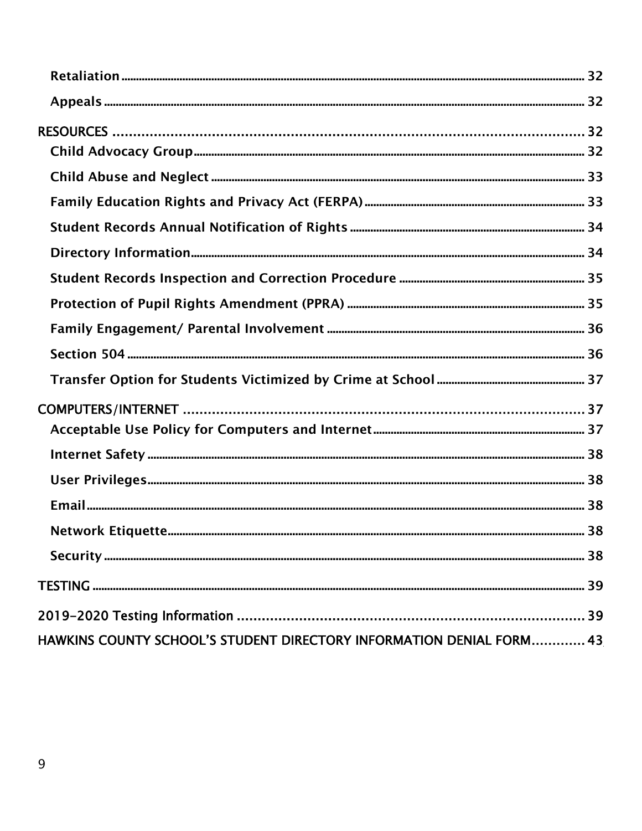| HAWKINS COUNTY SCHOOL'S STUDENT DIRECTORY INFORMATION DENIAL FORM 43 |  |
|----------------------------------------------------------------------|--|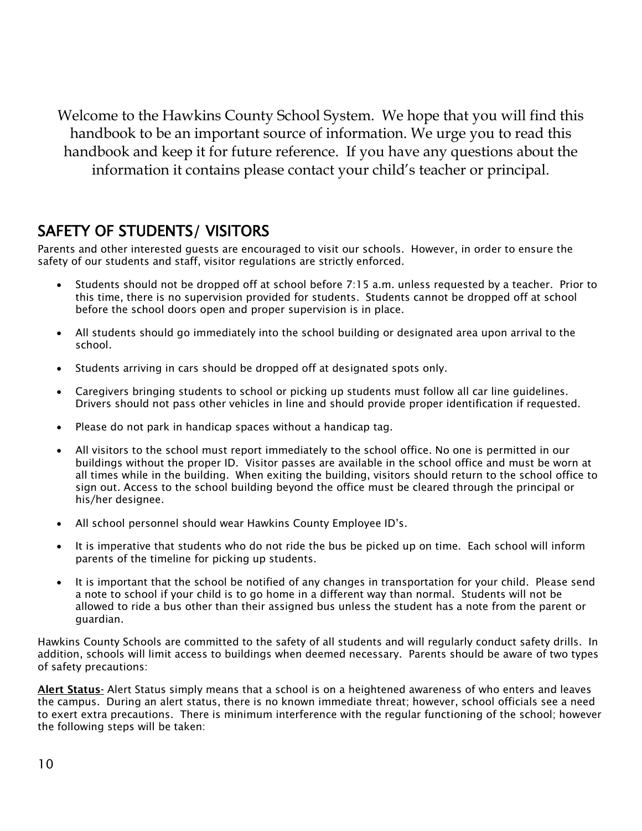Welcome to the Hawkins County School System. We hope that you will find this handbook to be an important source of information. We urge you to read this handbook and keep it for future reference. If you have any questions about the information it contains please contact your child's teacher or principal.

## <span id="page-10-0"></span>SAFETY OF STUDENTS/ VISITORS

Parents and other interested guests are encouraged to visit our schools. However, in order to ensure the safety of our students and staff, visitor regulations are strictly enforced.

- Students should not be dropped off at school before 7:15 a.m. unless requested by a teacher. Prior to this time, there is no supervision provided for students. Students cannot be dropped off at school before the school doors open and proper supervision is in place.
- All students should go immediately into the school building or designated area upon arrival to the school.
- Students arriving in cars should be dropped off at designated spots only.
- Caregivers bringing students to school or picking up students must follow all car line guidelines. Drivers should not pass other vehicles in line and should provide proper identification if requested.
- Please do not park in handicap spaces without a handicap tag.
- All visitors to the school must report immediately to the school office. No one is permitted in our buildings without the proper ID. Visitor passes are available in the school office and must be worn at all times while in the building. When exiting the building, visitors should return to the school office to sign out. Access to the school building beyond the office must be cleared through the principal or his/her designee.
- All school personnel should wear Hawkins County Employee ID's.
- It is imperative that students who do not ride the bus be picked up on time. Each school will inform parents of the timeline for picking up students.
- It is important that the school be notified of any changes in transportation for your child. Please send a note to school if your child is to go home in a different way than normal. Students will not be allowed to ride a bus other than their assigned bus unless the student has a note from the parent or guardian.

Hawkins County Schools are committed to the safety of all students and will regularly conduct safety drills. In addition, schools will limit access to buildings when deemed necessary. Parents should be aware of two types of safety precautions:

**Alert Status-** Alert Status simply means that a school is on a heightened awareness of who enters and leaves the campus. During an alert status, there is no known immediate threat; however, school officials see a need to exert extra precautions. There is minimum interference with the regular functioning of the school; however the following steps will be taken: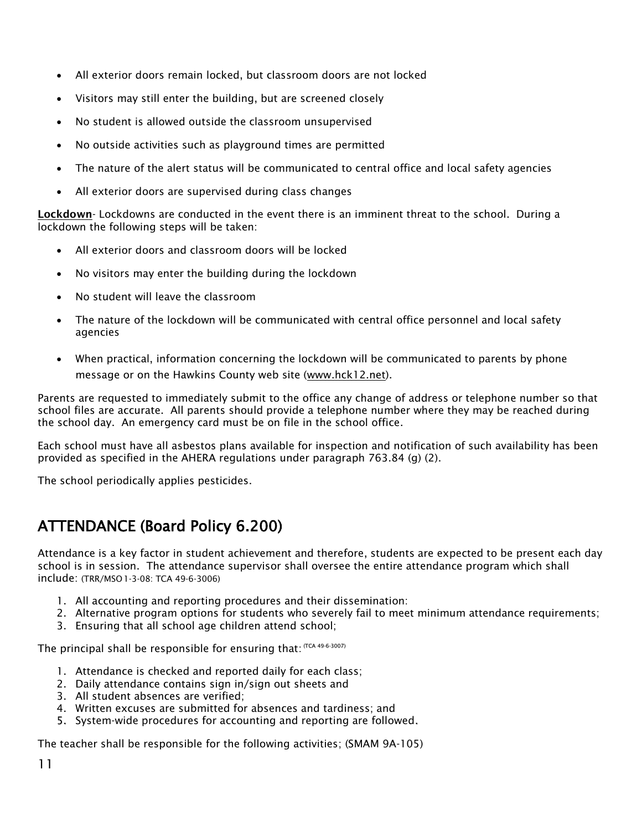- All exterior doors remain locked, but classroom doors are not locked
- Visitors may still enter the building, but are screened closely
- No student is allowed outside the classroom unsupervised
- No outside activities such as playground times are permitted
- The nature of the alert status will be communicated to central office and local safety agencies
- All exterior doors are supervised during class changes

**Lockdown**- Lockdowns are conducted in the event there is an imminent threat to the school. During a lockdown the following steps will be taken:

- All exterior doors and classroom doors will be locked
- No visitors may enter the building during the lockdown
- No student will leave the classroom
- The nature of the lockdown will be communicated with central office personnel and local safety agencies
- When practical, information concerning the lockdown will be communicated to parents by phone message or on the Hawkins County web site [\(www.hck12.net\)](http://www.hck12.net/).

Parents are requested to immediately submit to the office any change of address or telephone number so that school files are accurate. All parents should provide a telephone number where they may be reached during the school day. An emergency card must be on file in the school office.

Each school must have all asbestos plans available for inspection and notification of such availability has been provided as specified in the AHERA regulations under paragraph 763.84 (g) (2).

The school periodically applies pesticides.

## <span id="page-11-0"></span>ATTENDANCE (Board Policy 6.200)

Attendance is a key factor in student achievement and therefore, students are expected to be present each day school is in session. The attendance supervisor shall oversee the entire attendance program which shall include: (TRR/MSO1-3-08: TCA 49-6-3006)

- 1. All accounting and reporting procedures and their dissemination:
- 2. Alternative program options for students who severely fail to meet minimum attendance requirements;
- 3. Ensuring that all school age children attend school;

The principal shall be responsible for ensuring that:  $(TCA 49-6-3007)$ 

- 1. Attendance is checked and reported daily for each class;
- 2. Daily attendance contains sign in/sign out sheets and
- 3. All student absences are verified;
- 4. Written excuses are submitted for absences and tardiness; and
- 5. System-wide procedures for accounting and reporting are followed.

The teacher shall be responsible for the following activities; (SMAM 9A-105)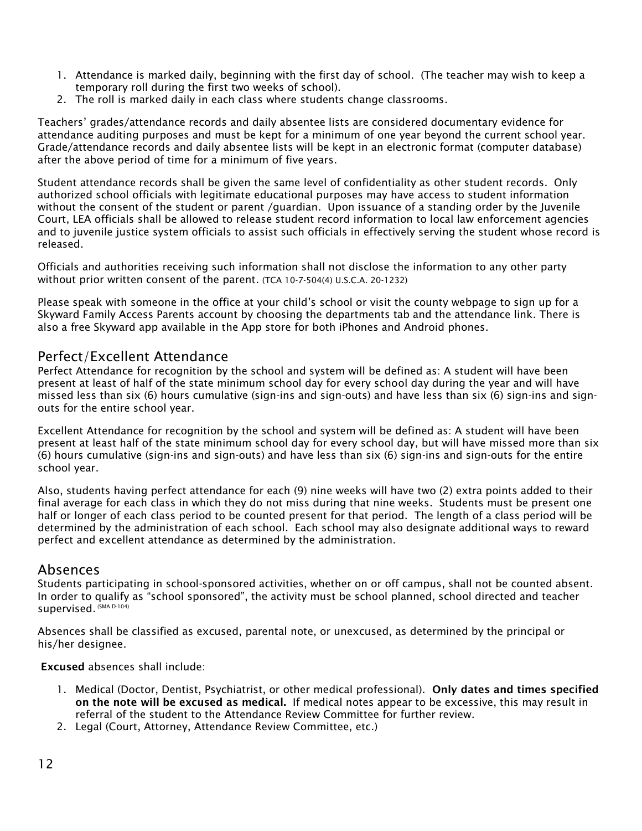- 1. Attendance is marked daily, beginning with the first day of school. (The teacher may wish to keep a temporary roll during the first two weeks of school).
- 2. The roll is marked daily in each class where students change classrooms.

Teachers' grades/attendance records and daily absentee lists are considered documentary evidence for attendance auditing purposes and must be kept for a minimum of one year beyond the current school year. Grade/attendance records and daily absentee lists will be kept in an electronic format (computer database) after the above period of time for a minimum of five years.

Student attendance records shall be given the same level of confidentiality as other student records. Only authorized school officials with legitimate educational purposes may have access to student information without the consent of the student or parent /guardian. Upon issuance of a standing order by the Juvenile Court, LEA officials shall be allowed to release student record information to local law enforcement agencies and to juvenile justice system officials to assist such officials in effectively serving the student whose record is released.

Officials and authorities receiving such information shall not disclose the information to any other party without prior written consent of the parent. (TCA 10-7-504(4) U.S.C.A. 20-1232)

Please speak with someone in the office at your child's school or visit the county webpage to sign up for a Skyward Family Access Parents account by choosing the departments tab and the attendance link. There is also a free Skyward app available in the App store for both iPhones and Android phones.

## <span id="page-12-0"></span>Perfect/Excellent Attendance

Perfect Attendance for recognition by the school and system will be defined as: A student will have been present at least of half of the state minimum school day for every school day during the year and will have missed less than six (6) hours cumulative (sign-ins and sign-outs) and have less than six (6) sign-ins and signouts for the entire school year.

Excellent Attendance for recognition by the school and system will be defined as: A student will have been present at least half of the state minimum school day for every school day, but will have missed more than six (6) hours cumulative (sign-ins and sign-outs) and have less than six (6) sign-ins and sign-outs for the entire school year.

Also, students having perfect attendance for each (9) nine weeks will have two (2) extra points added to their final average for each class in which they do not miss during that nine weeks. Students must be present one half or longer of each class period to be counted present for that period. The length of a class period will be determined by the administration of each school. Each school may also designate additional ways to reward perfect and excellent attendance as determined by the administration.

#### <span id="page-12-1"></span>Absences

Students participating in school-sponsored activities, whether on or off campus, shall not be counted absent. In order to qualify as "school sponsored", the activity must be school planned, school directed and teacher Supervised. (SMA D-104)

Absences shall be classified as excused, parental note, or unexcused, as determined by the principal or his/her designee.

**Excused** absences shall include:

- 1. Medical (Doctor, Dentist, Psychiatrist, or other medical professional). **Only dates and times specified on the note will be excused as medical.** If medical notes appear to be excessive, this may result in referral of the student to the Attendance Review Committee for further review.
- 2. Legal (Court, Attorney, Attendance Review Committee, etc.)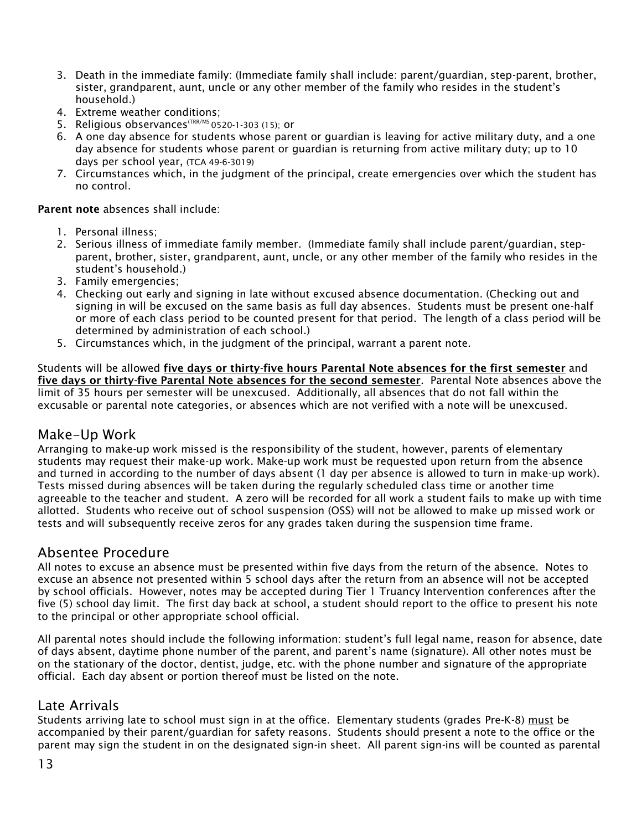- 3. Death in the immediate family: (Immediate family shall include: parent/guardian, step-parent, brother, sister, grandparent, aunt, uncle or any other member of the family who resides in the student's household.)
- 4. Extreme weather conditions;
- 5. Religious observances<sup>(TRR/MS</sup> 0520-1-303 (15): or
- 6. A one day absence for students whose parent or guardian is leaving for active military duty, and a one day absence for students whose parent or guardian is returning from active military duty; up to 10 days per school year, (TCA 49-6-3019)
- 7. Circumstances which, in the judgment of the principal, create emergencies over which the student has no control.

**Parent note** absences shall include:

- 1. Personal illness;
- 2. Serious illness of immediate family member. (Immediate family shall include parent/guardian, stepparent, brother, sister, grandparent, aunt, uncle, or any other member of the family who resides in the student's household.)
- 3. Family emergencies;
- 4. Checking out early and signing in late without excused absence documentation. (Checking out and signing in will be excused on the same basis as full day absences. Students must be present one-half or more of each class period to be counted present for that period. The length of a class period will be determined by administration of each school.)
- 5. Circumstances which, in the judgment of the principal, warrant a parent note.

Students will be allowed **five days or thirty-five hours Parental Note absences for the first semester** and **five days or thirty-five Parental Note absences for the second semester**. Parental Note absences above the limit of 35 hours per semester will be unexcused. Additionally, all absences that do not fall within the excusable or parental note categories, or absences which are not verified with a note will be unexcused.

#### <span id="page-13-0"></span>Make-Up Work

Arranging to make-up work missed is the responsibility of the student, however, parents of elementary students may request their make-up work. Make-up work must be requested upon return from the absence and turned in according to the number of days absent (1 day per absence is allowed to turn in make-up work). Tests missed during absences will be taken during the regularly scheduled class time or another time agreeable to the teacher and student. A zero will be recorded for all work a student fails to make up with time allotted. Students who receive out of school suspension (OSS) will not be allowed to make up missed work or tests and will subsequently receive zeros for any grades taken during the suspension time frame.

#### <span id="page-13-1"></span>Absentee Procedure

All notes to excuse an absence must be presented within five days from the return of the absence. Notes to excuse an absence not presented within 5 school days after the return from an absence will not be accepted by school officials. However, notes may be accepted during Tier 1 Truancy Intervention conferences after the five (5) school day limit. The first day back at school, a student should report to the office to present his note to the principal or other appropriate school official.

All parental notes should include the following information: student's full legal name, reason for absence, date of days absent, daytime phone number of the parent, and parent's name (signature). All other notes must be on the stationary of the doctor, dentist, judge, etc. with the phone number and signature of the appropriate official. Each day absent or portion thereof must be listed on the note.

#### <span id="page-13-2"></span>Late Arrivals

Students arriving late to school must sign in at the office. Elementary students (grades Pre-K-8) must be accompanied by their parent/guardian for safety reasons. Students should present a note to the office or the parent may sign the student in on the designated sign-in sheet. All parent sign-ins will be counted as parental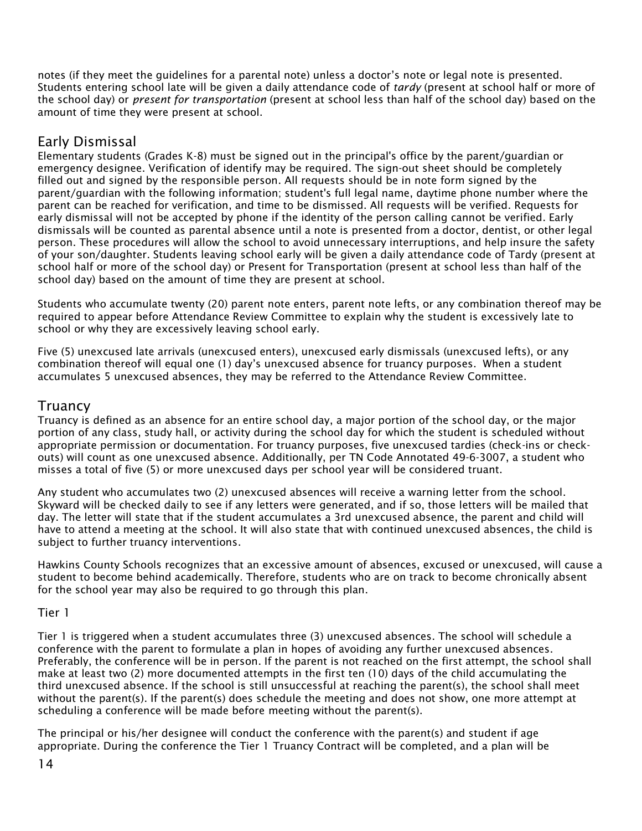notes (if they meet the guidelines for a parental note) unless a doctor's note or legal note is presented. Students entering school late will be given a daily attendance code of *tardy* (present at school half or more of the school day) or *present for transportation* (present at school less than half of the school day) based on the amount of time they were present at school.

#### <span id="page-14-0"></span>Early Dismissal

Elementary students (Grades K-8) must be signed out in the principal's office by the parent/guardian or emergency designee. Verification of identify may be required. The sign-out sheet should be completely filled out and signed by the responsible person. All requests should be in note form signed by the parent/guardian with the following information; student's full legal name, daytime phone number where the parent can be reached for verification, and time to be dismissed. All requests will be verified. Requests for early dismissal will not be accepted by phone if the identity of the person calling cannot be verified. Early dismissals will be counted as parental absence until a note is presented from a doctor, dentist, or other legal person. These procedures will allow the school to avoid unnecessary interruptions, and help insure the safety of your son/daughter. Students leaving school early will be given a daily attendance code of Tardy (present at school half or more of the school day) or Present for Transportation (present at school less than half of the school day) based on the amount of time they are present at school.

Students who accumulate twenty (20) parent note enters, parent note lefts, or any combination thereof may be required to appear before Attendance Review Committee to explain why the student is excessively late to school or why they are excessively leaving school early.

Five (5) unexcused late arrivals (unexcused enters), unexcused early dismissals (unexcused lefts), or any combination thereof will equal one (1) day's unexcused absence for truancy purposes. When a student accumulates 5 unexcused absences, they may be referred to the Attendance Review Committee.

#### <span id="page-14-1"></span>**Truancy**

Truancy is defined as an absence for an entire school day, a major portion of the school day, or the major portion of any class, study hall, or activity during the school day for which the student is scheduled without appropriate permission or documentation. For truancy purposes, five unexcused tardies (check-ins or checkouts) will count as one unexcused absence. Additionally, per TN Code Annotated 49-6-3007, a student who misses a total of five (5) or more unexcused days per school year will be considered truant.

Any student who accumulates two (2) unexcused absences will receive a warning letter from the school. Skyward will be checked daily to see if any letters were generated, and if so, those letters will be mailed that day. The letter will state that if the student accumulates a 3rd unexcused absence, the parent and child will have to attend a meeting at the school. It will also state that with continued unexcused absences, the child is subject to further truancy interventions.

Hawkins County Schools recognizes that an excessive amount of absences, excused or unexcused, will cause a student to become behind academically. Therefore, students who are on track to become chronically absent for the school year may also be required to go through this plan.

#### Tier 1

Tier 1 is triggered when a student accumulates three (3) unexcused absences. The school will schedule a conference with the parent to formulate a plan in hopes of avoiding any further unexcused absences. Preferably, the conference will be in person. If the parent is not reached on the first attempt, the school shall make at least two (2) more documented attempts in the first ten (10) days of the child accumulating the third unexcused absence. If the school is still unsuccessful at reaching the parent(s), the school shall meet without the parent(s). If the parent(s) does schedule the meeting and does not show, one more attempt at scheduling a conference will be made before meeting without the parent(s).

The principal or his/her designee will conduct the conference with the parent(s) and student if age appropriate. During the conference the Tier 1 Truancy Contract will be completed, and a plan will be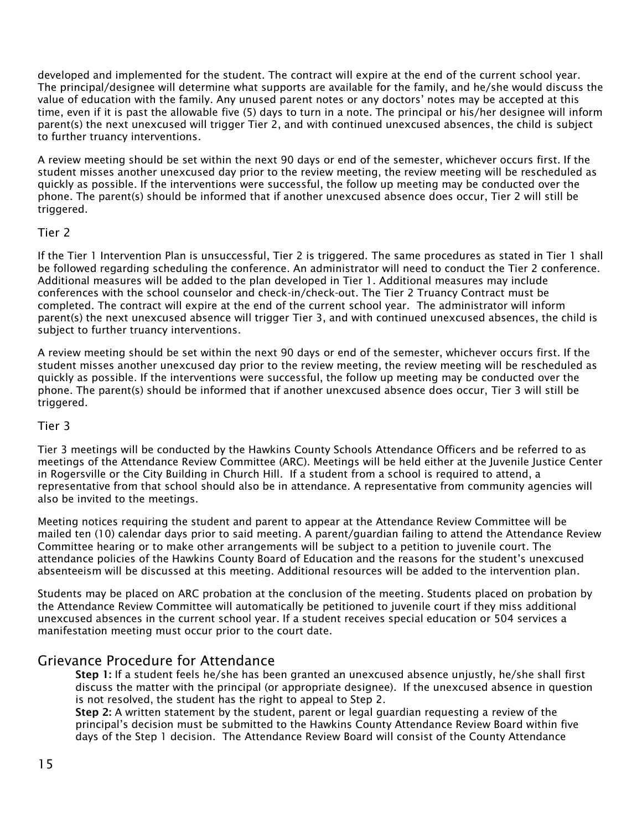developed and implemented for the student. The contract will expire at the end of the current school year. The principal/designee will determine what supports are available for the family, and he/she would discuss the value of education with the family. Any unused parent notes or any doctors' notes may be accepted at this time, even if it is past the allowable five (5) days to turn in a note. The principal or his/her designee will inform parent(s) the next unexcused will trigger Tier 2, and with continued unexcused absences, the child is subject to further truancy interventions.

A review meeting should be set within the next 90 days or end of the semester, whichever occurs first. If the student misses another unexcused day prior to the review meeting, the review meeting will be rescheduled as quickly as possible. If the interventions were successful, the follow up meeting may be conducted over the phone. The parent(s) should be informed that if another unexcused absence does occur, Tier 2 will still be triggered.

#### Tier 2

If the Tier 1 Intervention Plan is unsuccessful, Tier 2 is triggered. The same procedures as stated in Tier 1 shall be followed regarding scheduling the conference. An administrator will need to conduct the Tier 2 conference. Additional measures will be added to the plan developed in Tier 1. Additional measures may include conferences with the school counselor and check-in/check-out. The Tier 2 Truancy Contract must be completed. The contract will expire at the end of the current school year. The administrator will inform parent(s) the next unexcused absence will trigger Tier 3, and with continued unexcused absences, the child is subject to further truancy interventions.

A review meeting should be set within the next 90 days or end of the semester, whichever occurs first. If the student misses another unexcused day prior to the review meeting, the review meeting will be rescheduled as quickly as possible. If the interventions were successful, the follow up meeting may be conducted over the phone. The parent(s) should be informed that if another unexcused absence does occur, Tier 3 will still be triggered.

#### Tier 3

Tier 3 meetings will be conducted by the Hawkins County Schools Attendance Officers and be referred to as meetings of the Attendance Review Committee (ARC). Meetings will be held either at the Juvenile Justice Center in Rogersville or the City Building in Church Hill. If a student from a school is required to attend, a representative from that school should also be in attendance. A representative from community agencies will also be invited to the meetings.

Meeting notices requiring the student and parent to appear at the Attendance Review Committee will be mailed ten (10) calendar days prior to said meeting. A parent/guardian failing to attend the Attendance Review Committee hearing or to make other arrangements will be subject to a petition to juvenile court. The attendance policies of the Hawkins County Board of Education and the reasons for the student's unexcused absenteeism will be discussed at this meeting. Additional resources will be added to the intervention plan.

Students may be placed on ARC probation at the conclusion of the meeting. Students placed on probation by the Attendance Review Committee will automatically be petitioned to juvenile court if they miss additional unexcused absences in the current school year. If a student receives special education or 504 services a manifestation meeting must occur prior to the court date.

#### <span id="page-15-0"></span>Grievance Procedure for Attendance

**Step 1:** If a student feels he/she has been granted an unexcused absence unjustly, he/she shall first discuss the matter with the principal (or appropriate designee). If the unexcused absence in question is not resolved, the student has the right to appeal to Step 2.

**Step 2:** A written statement by the student, parent or legal guardian requesting a review of the principal's decision must be submitted to the Hawkins County Attendance Review Board within five days of the Step 1 decision. The Attendance Review Board will consist of the County Attendance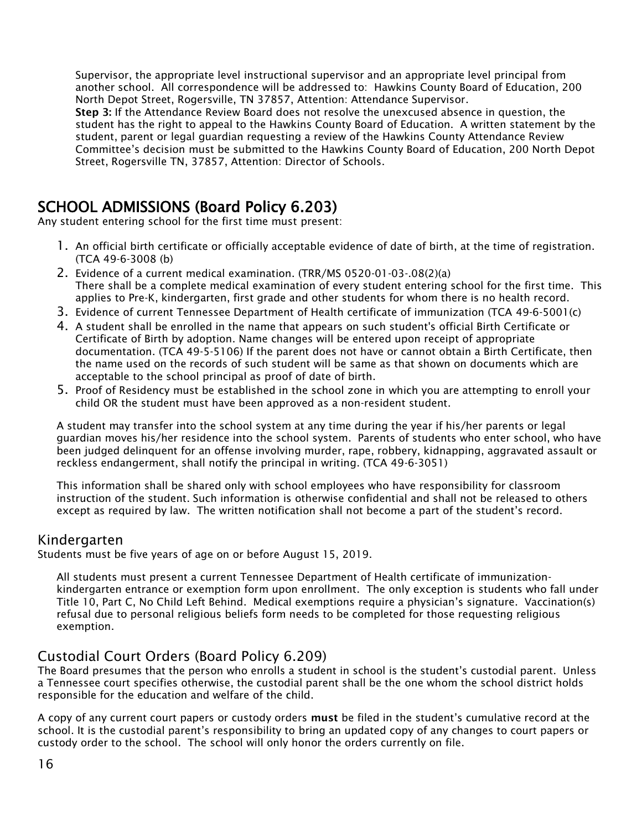Supervisor, the appropriate level instructional supervisor and an appropriate level principal from another school. All correspondence will be addressed to: Hawkins County Board of Education, 200 North Depot Street, Rogersville, TN 37857, Attention: Attendance Supervisor.

**Step 3:** If the Attendance Review Board does not resolve the unexcused absence in question, the student has the right to appeal to the Hawkins County Board of Education. A written statement by the student, parent or legal guardian requesting a review of the Hawkins County Attendance Review Committee's decision must be submitted to the Hawkins County Board of Education, 200 North Depot Street, Rogersville TN, 37857, Attention: Director of Schools.

## <span id="page-16-0"></span>SCHOOL ADMISSIONS (Board Policy 6.203)

Any student entering school for the first time must present:

- 1. An official birth certificate or officially acceptable evidence of date of birth, at the time of registration. (TCA 49-6-3008 (b)
- 2. Evidence of a current medical examination. (TRR/MS 0520-01-03-.08(2)(a) There shall be a complete medical examination of every student entering school for the first time. This applies to Pre-K, kindergarten, first grade and other students for whom there is no health record.
- 3. Evidence of current Tennessee Department of Health certificate of immunization (TCA 49-6-5001(c)
- 4. A student shall be enrolled in the name that appears on such student's official Birth Certificate or Certificate of Birth by adoption. Name changes will be entered upon receipt of appropriate documentation. (TCA 49-5-5106) If the parent does not have or cannot obtain a Birth Certificate, then the name used on the records of such student will be same as that shown on documents which are acceptable to the school principal as proof of date of birth.
- 5. Proof of Residency must be established in the school zone in which you are attempting to enroll your child OR the student must have been approved as a non-resident student.

A student may transfer into the school system at any time during the year if his/her parents or legal guardian moves his/her residence into the school system. Parents of students who enter school, who have been judged delinquent for an offense involving murder, rape, robbery, kidnapping, aggravated assault or reckless endangerment, shall notify the principal in writing. (TCA 49-6-3051)

<span id="page-16-1"></span>This information shall be shared only with school employees who have responsibility for classroom instruction of the student. Such information is otherwise confidential and shall not be released to others except as required by law. The written notification shall not become a part of the student's record.

#### Kindergarten

Students must be five years of age on or before August 15, 2019.

<span id="page-16-2"></span>All students must present a current Tennessee Department of Health certificate of immunizationkindergarten entrance or exemption form upon enrollment. The only exception is students who fall under Title 10, Part C, No Child Left Behind. Medical exemptions require a physician's signature. Vaccination(s) refusal due to personal religious beliefs form needs to be completed for those requesting religious exemption.

#### Custodial Court Orders (Board Policy 6.209)

The Board presumes that the person who enrolls a student in school is the student's custodial parent. Unless a Tennessee court specifies otherwise, the custodial parent shall be the one whom the school district holds responsible for the education and welfare of the child.

A copy of any current court papers or custody orders **must** be filed in the student's cumulative record at the school. It is the custodial parent's responsibility to bring an updated copy of any changes to court papers or custody order to the school. The school will only honor the orders currently on file.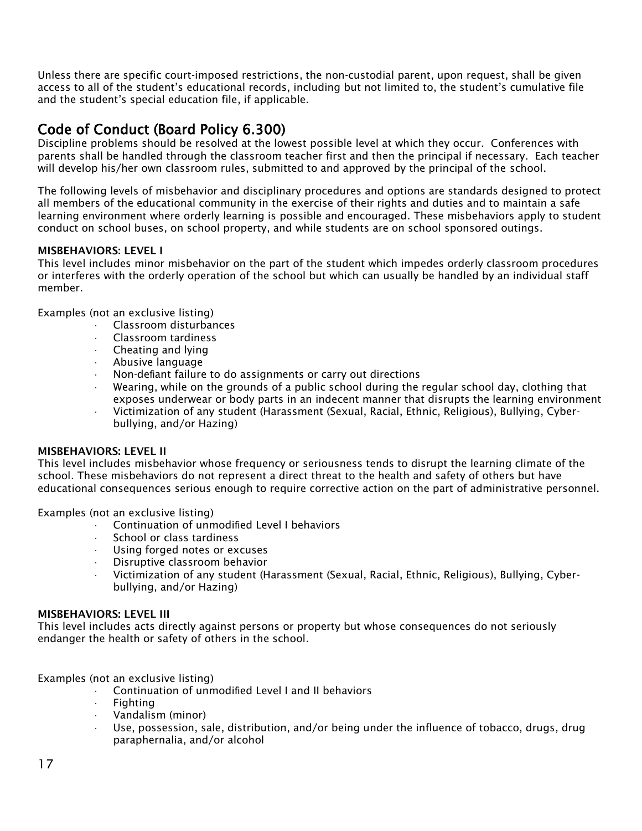Unless there are specific court-imposed restrictions, the non-custodial parent, upon request, shall be given access to all of the student's educational records, including but not limited to, the student's cumulative file and the student's special education file, if applicable.

## Code of Conduct (Board Policy 6.300)

Discipline problems should be resolved at the lowest possible level at which they occur. Conferences with parents shall be handled through the classroom teacher first and then the principal if necessary. Each teacher will develop his/her own classroom rules, submitted to and approved by the principal of the school.

The following levels of misbehavior and disciplinary procedures and options are standards designed to protect all members of the educational community in the exercise of their rights and duties and to maintain a safe learning environment where orderly learning is possible and encouraged. These misbehaviors apply to student conduct on school buses, on school property, and while students are on school sponsored outings.

#### **MISBEHAVIORS: LEVEL I**

This level includes minor misbehavior on the part of the student which impedes orderly classroom procedures or interferes with the orderly operation of the school but which can usually be handled by an individual staff member.

Examples (not an exclusive listing)

- · Classroom disturbances
- · Classroom tardiness
- · Cheating and lying
- · Abusive language
- Non-defiant failure to do assignments or carry out directions
- · Wearing, while on the grounds of a public school during the regular school day, clothing that exposes underwear or body parts in an indecent manner that disrupts the learning environment
- · Victimization of any student (Harassment (Sexual, Racial, Ethnic, Religious), Bullying, Cyberbullying, and/or Hazing)

#### **MISBEHAVIORS: LEVEL II**

This level includes misbehavior whose frequency or seriousness tends to disrupt the learning climate of the school. These misbehaviors do not represent a direct threat to the health and safety of others but have educational consequences serious enough to require corrective action on the part of administrative personnel.

#### Examples (not an exclusive listing)

- · Continuation of unmodified Level I behaviors
- School or class tardiness
- · Using forged notes or excuses
- Disruptive classroom behavior
- · Victimization of any student (Harassment (Sexual, Racial, Ethnic, Religious), Bullying, Cyberbullying, and/or Hazing)

#### **MISBEHAVIORS: LEVEL III**

This level includes acts directly against persons or property but whose consequences do not seriously endanger the health or safety of others in the school.

Examples (not an exclusive listing)

- · Continuation of unmodified Level I and II behaviors
- **Fighting**
- · Vandalism (minor)
- Use, possession, sale, distribution, and/or being under the influence of tobacco, drugs, drug paraphernalia, and/or alcohol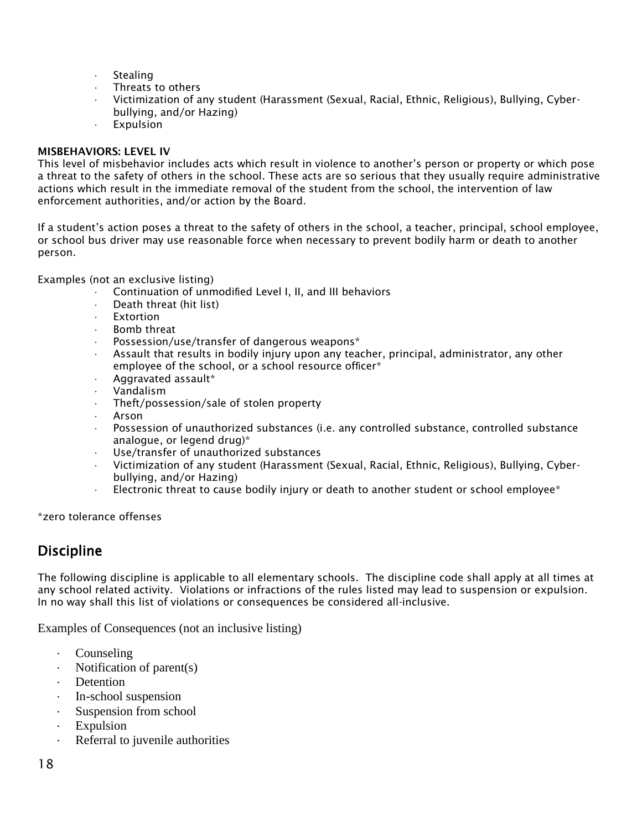- · Stealing
- Threats to others
- · Victimization of any student (Harassment (Sexual, Racial, Ethnic, Religious), Bullying, Cyberbullying, and/or Hazing)
- **Expulsion**

#### **MISBEHAVIORS: LEVEL IV**

This level of misbehavior includes acts which result in violence to another's person or property or which pose a threat to the safety of others in the school. These acts are so serious that they usually require administrative actions which result in the immediate removal of the student from the school, the intervention of law enforcement authorities, and/or action by the Board.

If a student's action poses a threat to the safety of others in the school, a teacher, principal, school employee, or school bus driver may use reasonable force when necessary to prevent bodily harm or death to another person.

Examples (not an exclusive listing)

- Continuation of unmodified Level I, II, and III behaviors
- Death threat (hit list)
- **Fxtortion**
- Bomb threat
- Possession/use/transfer of dangerous weapons\*
- Assault that results in bodily injury upon any teacher, principal, administrator, any other employee of the school, or a school resource officer\*
- · Aggravated assault\*
- · Vandalism
- Theft/possession/sale of stolen property
- · Arson
- · Possession of unauthorized substances (i.e. any controlled substance, controlled substance analogue, or legend drug)\*
- Use/transfer of unauthorized substances
- · Victimization of any student (Harassment (Sexual, Racial, Ethnic, Religious), Bullying, Cyberbullying, and/or Hazing)
- $\cdot$  Electronic threat to cause bodily injury or death to another student or school employee\*

\*zero tolerance offenses

#### Discipline

The following discipline is applicable to all elementary schools. The discipline code shall apply at all times at any school related activity. Violations or infractions of the rules listed may lead to suspension or expulsion. In no way shall this list of violations or consequences be considered all-inclusive.

Examples of Consequences (not an inclusive listing)

- **Counseling**
- Notification of parent $(s)$
- **Detention**
- · In-school suspension
- · Suspension from school
- **Expulsion**
- Referral to juvenile authorities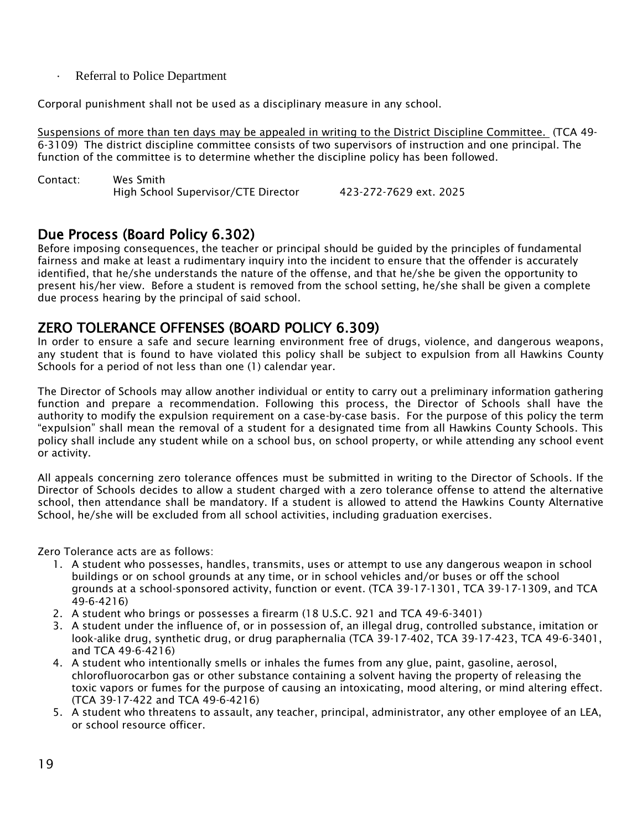· Referral to Police Department

Corporal punishment shall not be used as a disciplinary measure in any school.

Suspensions of more than ten days may be appealed in writing to the District Discipline Committee. (TCA 49- 6-3109) The district discipline committee consists of two supervisors of instruction and one principal. The function of the committee is to determine whether the discipline policy has been followed.

| Contact: | Wes Smith                           |                        |  |
|----------|-------------------------------------|------------------------|--|
|          | High School Supervisor/CTE Director | 423-272-7629 ext. 2025 |  |

## <span id="page-19-0"></span>Due Process (Board Policy 6.302)

Before imposing consequences, the teacher or principal should be guided by the principles of fundamental fairness and make at least a rudimentary inquiry into the incident to ensure that the offender is accurately identified, that he/she understands the nature of the offense, and that he/she be given the opportunity to present his/her view. Before a student is removed from the school setting, he/she shall be given a complete due process hearing by the principal of said school.

## ZERO TOLERANCE OFFENSES (BOARD POLICY 6.309)

In order to ensure a safe and secure learning environment free of drugs, violence, and dangerous weapons, any student that is found to have violated this policy shall be subject to expulsion from all Hawkins County Schools for a period of not less than one (1) calendar year.

The Director of Schools may allow another individual or entity to carry out a preliminary information gathering function and prepare a recommendation. Following this process, the Director of Schools shall have the authority to modify the expulsion requirement on a case-by-case basis. For the purpose of this policy the term "expulsion" shall mean the removal of a student for a designated time from all Hawkins County Schools. This policy shall include any student while on a school bus, on school property, or while attending any school event or activity.

All appeals concerning zero tolerance offences must be submitted in writing to the Director of Schools. If the Director of Schools decides to allow a student charged with a zero tolerance offense to attend the alternative school, then attendance shall be mandatory. If a student is allowed to attend the Hawkins County Alternative School, he/she will be excluded from all school activities, including graduation exercises.

Zero Tolerance acts are as follows:

- 1. A student who possesses, handles, transmits, uses or attempt to use any dangerous weapon in school buildings or on school grounds at any time, or in school vehicles and/or buses or off the school grounds at a school-sponsored activity, function or event. (TCA 39-17-1301, TCA 39-17-1309, and TCA 49-6-4216)
- 2. A student who brings or possesses a firearm (18 U.S.C. 921 and TCA 49-6-3401)
- 3. A student under the influence of, or in possession of, an illegal drug, controlled substance, imitation or look-alike drug, synthetic drug, or drug paraphernalia (TCA 39-17-402, TCA 39-17-423, TCA 49-6-3401, and TCA 49-6-4216)
- 4. A student who intentionally smells or inhales the fumes from any glue, paint, gasoline, aerosol, chlorofluorocarbon gas or other substance containing a solvent having the property of releasing the toxic vapors or fumes for the purpose of causing an intoxicating, mood altering, or mind altering effect. (TCA 39-17-422 and TCA 49-6-4216)
- 5. A student who threatens to assault, any teacher, principal, administrator, any other employee of an LEA, or school resource officer.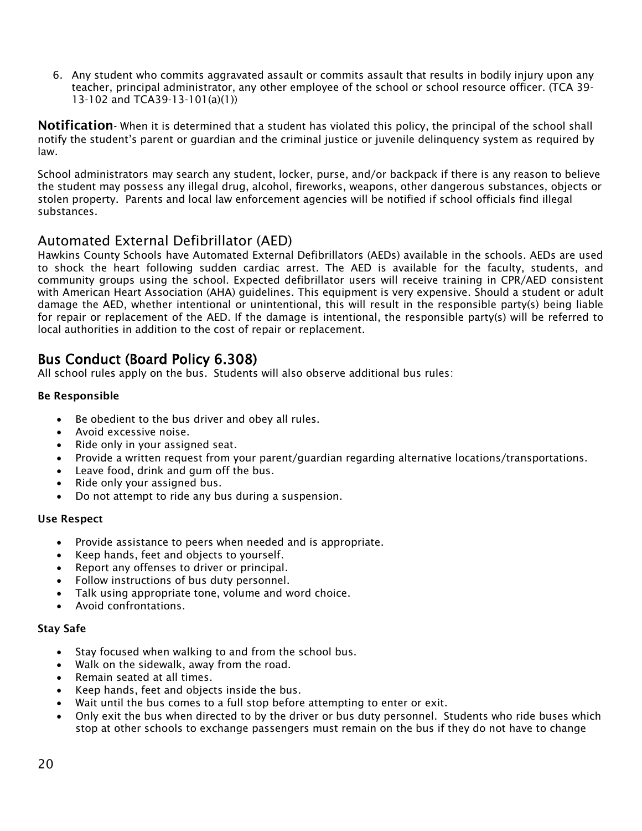6. Any student who commits aggravated assault or commits assault that results in bodily injury upon any teacher, principal administrator, any other employee of the school or school resource officer. (TCA 39- 13-102 and TCA39-13-101(a)(1))

**Notification**- When it is determined that a student has violated this policy, the principal of the school shall notify the student's parent or guardian and the criminal justice or juvenile delinquency system as required by law.

School administrators may search any student, locker, purse, and/or backpack if there is any reason to believe the student may possess any illegal drug, alcohol, fireworks, weapons, other dangerous substances, objects or stolen property. Parents and local law enforcement agencies will be notified if school officials find illegal substances.

## Automated External Defibrillator (AED)

Hawkins County Schools have Automated External Defibrillators (AEDs) available in the schools. AEDs are used to shock the heart following sudden cardiac arrest. The AED is available for the faculty, students, and community groups using the school. Expected defibrillator users will receive training in CPR/AED consistent with American Heart Association (AHA) guidelines. This equipment is very expensive. Should a student or adult damage the AED, whether intentional or unintentional, this will result in the responsible party(s) being liable for repair or replacement of the AED. If the damage is intentional, the responsible party(s) will be referred to local authorities in addition to the cost of repair or replacement.

## <span id="page-20-0"></span>Bus Conduct (Board Policy 6.308)

All school rules apply on the bus. Students will also observe additional bus rules:

#### **Be Responsible**

- Be obedient to the bus driver and obey all rules.
- Avoid excessive noise.
- Ride only in your assigned seat.
- Provide a written request from your parent/guardian regarding alternative locations/transportations.
- Leave food, drink and gum off the bus.
- Ride only your assigned bus.
- Do not attempt to ride any bus during a suspension.

#### **Use Respect**

- Provide assistance to peers when needed and is appropriate.
- Keep hands, feet and objects to yourself.
- Report any offenses to driver or principal.
- Follow instructions of bus duty personnel.
- Talk using appropriate tone, volume and word choice.
- Avoid confrontations.

#### **Stay Safe**

- Stay focused when walking to and from the school bus.
- Walk on the sidewalk, away from the road.
- Remain seated at all times.
- Keep hands, feet and objects inside the bus.
- Wait until the bus comes to a full stop before attempting to enter or exit.
- Only exit the bus when directed to by the driver or bus duty personnel. Students who ride buses which stop at other schools to exchange passengers must remain on the bus if they do not have to change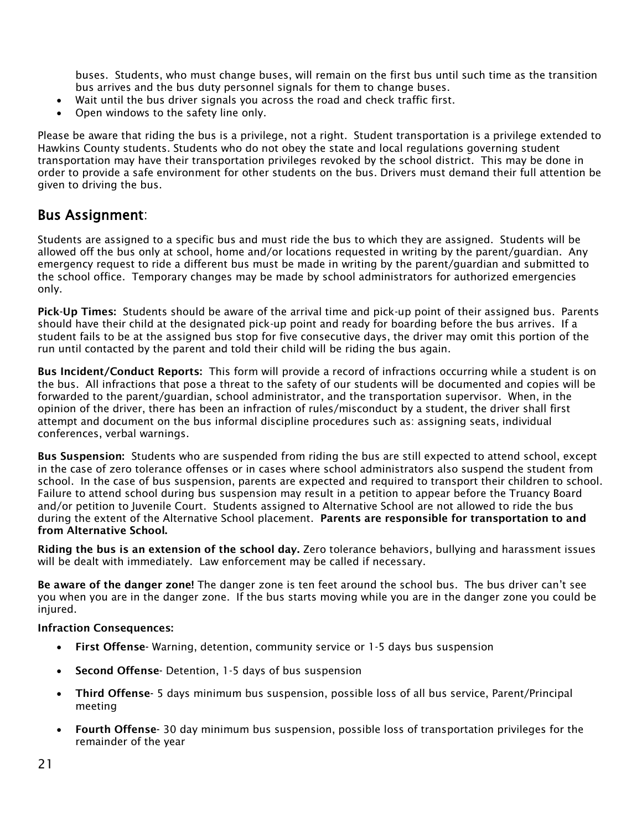buses. Students, who must change buses, will remain on the first bus until such time as the transition bus arrives and the bus duty personnel signals for them to change buses.

- Wait until the bus driver signals you across the road and check traffic first.
- Open windows to the safety line only.

Please be aware that riding the bus is a privilege, not a right. Student transportation is a privilege extended to Hawkins County students. Students who do not obey the state and local regulations governing student transportation may have their transportation privileges revoked by the school district. This may be done in order to provide a safe environment for other students on the bus. Drivers must demand their full attention be given to driving the bus.

## <span id="page-21-0"></span>Bus Assignment:

Students are assigned to a specific bus and must ride the bus to which they are assigned. Students will be allowed off the bus only at school, home and/or locations requested in writing by the parent/guardian. Any emergency request to ride a different bus must be made in writing by the parent/guardian and submitted to the school office. Temporary changes may be made by school administrators for authorized emergencies only.

<span id="page-21-1"></span>**Pick-Up Times:** Students should be aware of the arrival time and pick-up point of their assigned bus. Parents should have their child at the designated pick-up point and ready for boarding before the bus arrives. If a student fails to be at the assigned bus stop for five consecutive days, the driver may omit this portion of the run until contacted by the parent and told their child will be riding the bus again.

<span id="page-21-2"></span>**Bus Incident/Conduct Reports:** This form will provide a record of infractions occurring while a student is on the bus. All infractions that pose a threat to the safety of our students will be documented and copies will be forwarded to the parent/guardian, school administrator, and the transportation supervisor. When, in the opinion of the driver, there has been an infraction of rules/misconduct by a student, the driver shall first attempt and document on the bus informal discipline procedures such as: assigning seats, individual conferences, verbal warnings.

<span id="page-21-3"></span>**Bus Suspension:** Students who are suspended from riding the bus are still expected to attend school, except in the case of zero tolerance offenses or in cases where school administrators also suspend the student from school. In the case of bus suspension, parents are expected and required to transport their children to school. Failure to attend school during bus suspension may result in a petition to appear before the Truancy Board and/or petition to Juvenile Court. Students assigned to Alternative School are not allowed to ride the bus during the extent of the Alternative School placement. **Parents are responsible for transportation to and from Alternative School.**

**Riding the bus is an extension of the school day.** Zero tolerance behaviors, bullying and harassment issues will be dealt with immediately. Law enforcement may be called if necessary.

**Be aware of the danger zone!** The danger zone is ten feet around the school bus. The bus driver can't see you when you are in the danger zone. If the bus starts moving while you are in the danger zone you could be injured.

#### **Infraction Consequences:**

- **First Offense-** Warning, detention, community service or 1-5 days bus suspension
- **Second Offense-** Detention, 1-5 days of bus suspension
- **Third Offense-** 5 days minimum bus suspension, possible loss of all bus service, Parent/Principal meeting
- **Fourth Offense-** 30 day minimum bus suspension, possible loss of transportation privileges for the remainder of the year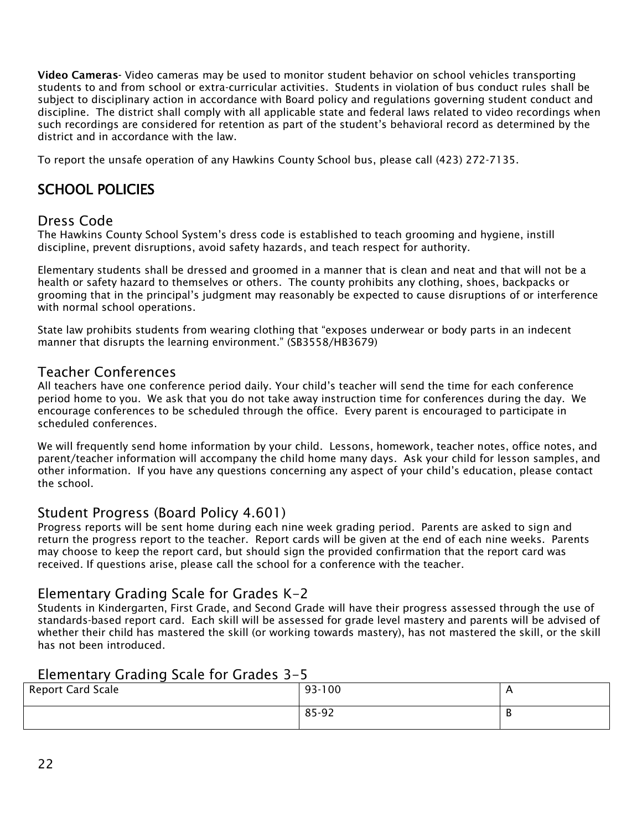<span id="page-22-0"></span>**Video Cameras-** Video cameras may be used to monitor student behavior on school vehicles transporting students to and from school or extra-curricular activities. Students in violation of bus conduct rules shall be subject to disciplinary action in accordance with Board policy and regulations governing student conduct and discipline. The district shall comply with all applicable state and federal laws related to video recordings when such recordings are considered for retention as part of the student's behavioral record as determined by the district and in accordance with the law.

<span id="page-22-1"></span>To report the unsafe operation of any Hawkins County School bus, please call (423) 272-7135.

## <span id="page-22-2"></span>SCHOOL POLICIES

#### Dress Code

The Hawkins County School System's dress code is established to teach grooming and hygiene, instill discipline, prevent disruptions, avoid safety hazards, and teach respect for authority.

Elementary students shall be dressed and groomed in a manner that is clean and neat and that will not be a health or safety hazard to themselves or others. The county prohibits any clothing, shoes, backpacks or grooming that in the principal's judgment may reasonably be expected to cause disruptions of or interference with normal school operations.

<span id="page-22-3"></span>State law prohibits students from wearing clothing that "exposes underwear or body parts in an indecent manner that disrupts the learning environment." (SB3558/HB3679)

#### Teacher Conferences

All teachers have one conference period daily. Your child's teacher will send the time for each conference period home to you. We ask that you do not take away instruction time for conferences during the day. We encourage conferences to be scheduled through the office. Every parent is encouraged to participate in scheduled conferences.

We will frequently send home information by your child. Lessons, homework, teacher notes, office notes, and parent/teacher information will accompany the child home many days. Ask your child for lesson samples, and other information. If you have any questions concerning any aspect of your child's education, please contact the school.

#### <span id="page-22-4"></span>Student Progress (Board Policy 4.601)

Progress reports will be sent home during each nine week grading period. Parents are asked to sign and return the progress report to the teacher. Report cards will be given at the end of each nine weeks. Parents may choose to keep the report card, but should sign the provided confirmation that the report card was received. If questions arise, please call the school for a conference with the teacher.

#### <span id="page-22-5"></span>Elementary Grading Scale for Grades K-2

Students in Kindergarten, First Grade, and Second Grade will have their progress assessed through the use of standards-based report card. Each skill will be assessed for grade level mastery and parents will be advised of whether their child has mastered the skill (or working towards mastery), has not mastered the skill, or the skill has not been introduced.

#### Elementary Grading Scale for Grades 3-5

| <b>Report Card Scale</b> | 93-100 | . . |
|--------------------------|--------|-----|
|                          | 85-92  | D   |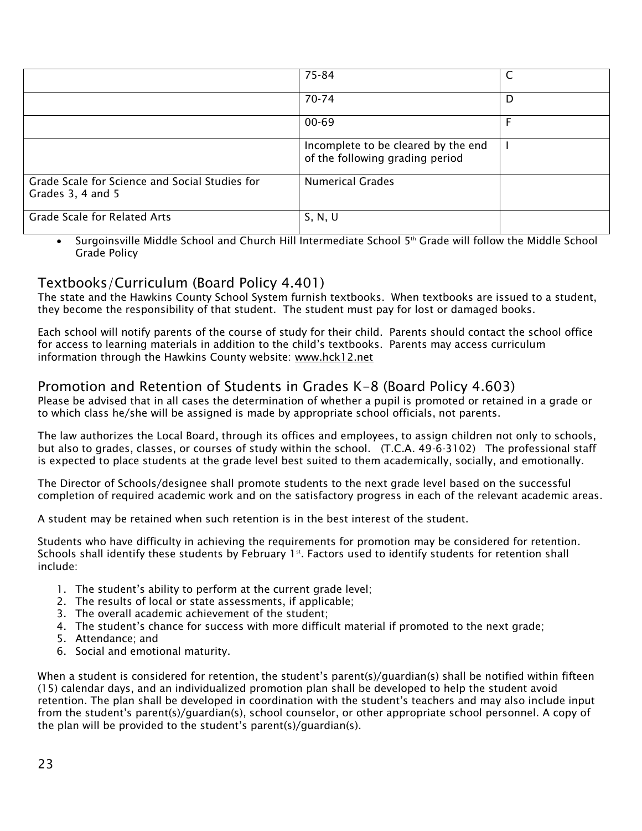|                                                                     | 75-84                                                                  |   |
|---------------------------------------------------------------------|------------------------------------------------------------------------|---|
|                                                                     | 70-74                                                                  | D |
|                                                                     | $00 - 69$                                                              |   |
|                                                                     | Incomplete to be cleared by the end<br>of the following grading period |   |
| Grade Scale for Science and Social Studies for<br>Grades 3, 4 and 5 | <b>Numerical Grades</b>                                                |   |
| <b>Grade Scale for Related Arts</b>                                 | S, N, U                                                                |   |

• Surgoinsville Middle School and Church Hill Intermediate School  $5<sup>th</sup>$  Grade will follow the Middle School Grade Policy

## <span id="page-23-0"></span>Textbooks/Curriculum (Board Policy 4.401)

The state and the Hawkins County School System furnish textbooks. When textbooks are issued to a student, they become the responsibility of that student. The student must pay for lost or damaged books.

Each school will notify parents of the course of study for their child. Parents should contact the school office for access to learning materials in addition to the child's textbooks. Parents may access curriculum information through the Hawkins County website: [www.hck12.net](http://www.hck12.net/)

## <span id="page-23-1"></span>Promotion and Retention of Students in Grades K-8 (Board Policy 4.603)

Please be advised that in all cases the determination of whether a pupil is promoted or retained in a grade or to which class he/she will be assigned is made by appropriate school officials, not parents.

The law authorizes the Local Board, through its offices and employees, to assign children not only to schools, but also to grades, classes, or courses of study within the school. (T.C.A. 49-6-3102) The professional staff is expected to place students at the grade level best suited to them academically, socially, and emotionally.

The Director of Schools/designee shall promote students to the next grade level based on the successful completion of required academic work and on the satisfactory progress in each of the relevant academic areas.

A student may be retained when such retention is in the best interest of the student.

Students who have difficulty in achieving the requirements for promotion may be considered for retention. Schools shall identify these students by February 1st. Factors used to identify students for retention shall include:

- 1. The student's ability to perform at the current grade level;
- 2. The results of local or state assessments, if applicable;
- 3. The overall academic achievement of the student;
- 4. The student's chance for success with more difficult material if promoted to the next grade;
- 5. Attendance; and
- 6. Social and emotional maturity.

When a student is considered for retention, the student's parent(s)/quardian(s) shall be notified within fifteen (15) calendar days, and an individualized promotion plan shall be developed to help the student avoid retention. The plan shall be developed in coordination with the student's teachers and may also include input from the student's parent(s)/guardian(s), school counselor, or other appropriate school personnel. A copy of the plan will be provided to the student's parent(s)/guardian(s).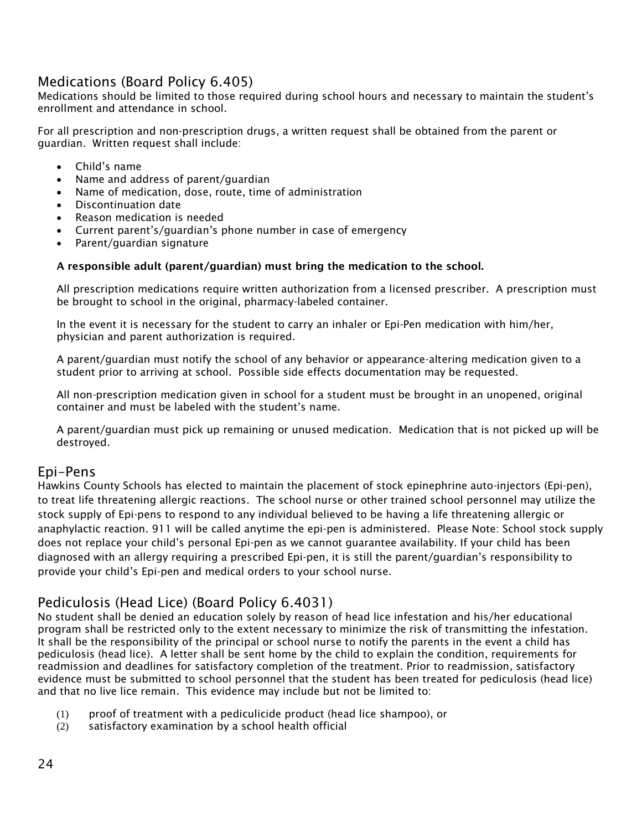## Medications (Board Policy 6.405)

Medications should be limited to those required during school hours and necessary to maintain the student's enrollment and attendance in school.

For all prescription and non-prescription drugs, a written request shall be obtained from the parent or guardian. Written request shall include:

- Child's name
- Name and address of parent/guardian
- Name of medication, dose, route, time of administration
- Discontinuation date
- Reason medication is needed
- Current parent's/guardian's phone number in case of emergency
- Parent/guardian signature

#### **A responsible adult (parent/guardian) must bring the medication to the school.**

All prescription medications require written authorization from a licensed prescriber. A prescription must be brought to school in the original, pharmacy-labeled container.

In the event it is necessary for the student to carry an inhaler or Epi-Pen medication with him/her, physician and parent authorization is required.

A parent/guardian must notify the school of any behavior or appearance-altering medication given to a student prior to arriving at school. Possible side effects documentation may be requested.

All non-prescription medication given in school for a student must be brought in an unopened, original container and must be labeled with the student's name.

A parent/guardian must pick up remaining or unused medication. Medication that is not picked up will be destroyed.

#### Epi-Pens

Hawkins County Schools has elected to maintain the placement of stock epinephrine auto-injectors (Epi-pen), to treat life threatening allergic reactions. The school nurse or other trained school personnel may utilize the stock supply of Epi-pens to respond to any individual believed to be having a life threatening allergic or anaphylactic reaction. 911 will be called anytime the epi-pen is administered. Please Note: School stock supply does not replace your child's personal Epi-pen as we cannot guarantee availability. If your child has been diagnosed with an allergy requiring a prescribed Epi-pen, it is still the parent/guardian's responsibility to provide your child's Epi-pen and medical orders to your school nurse.

#### Pediculosis (Head Lice) (Board Policy 6.4031)

No student shall be denied an education solely by reason of head lice infestation and his/her educational program shall be restricted only to the extent necessary to minimize the risk of transmitting the infestation. It shall be the responsibility of the principal or school nurse to notify the parents in the event a child has pediculosis (head lice). A letter shall be sent home by the child to explain the condition, requirements for readmission and deadlines for satisfactory completion of the treatment. Prior to readmission, satisfactory evidence must be submitted to school personnel that the student has been treated for pediculosis (head lice) and that no live lice remain. This evidence may include but not be limited to:

- (1) proof of treatment with a pediculicide product (head lice shampoo), or
- (2) satisfactory examination by a school health official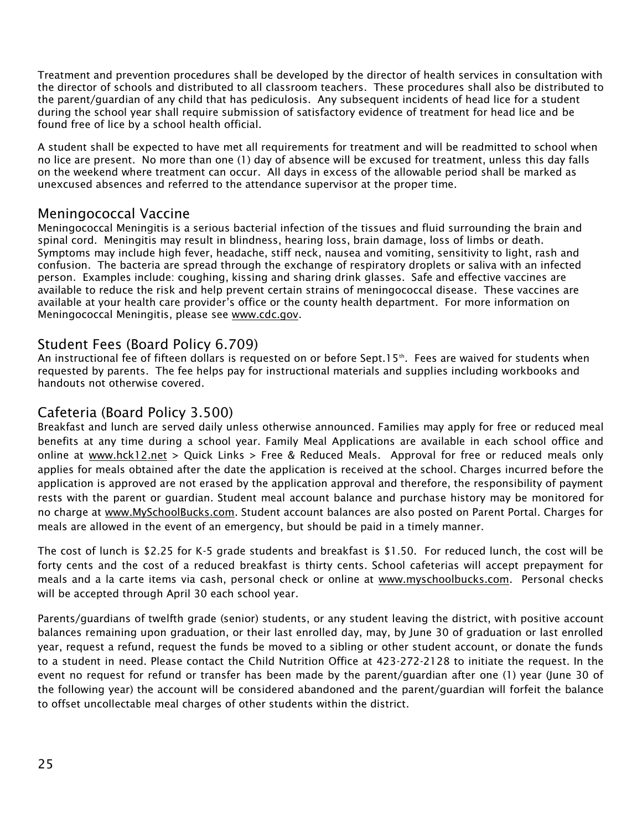Treatment and prevention procedures shall be developed by the director of health services in consultation with the director of schools and distributed to all classroom teachers. These procedures shall also be distributed to the parent/guardian of any child that has pediculosis. Any subsequent incidents of head lice for a student during the school year shall require submission of satisfactory evidence of treatment for head lice and be found free of lice by a school health official.

A student shall be expected to have met all requirements for treatment and will be readmitted to school when no lice are present. No more than one (1) day of absence will be excused for treatment, unless this day falls on the weekend where treatment can occur. All days in excess of the allowable period shall be marked as unexcused absences and referred to the attendance supervisor at the proper time.

#### Meningococcal Vaccine

Meningococcal Meningitis is a serious bacterial infection of the tissues and fluid surrounding the brain and spinal cord. Meningitis may result in blindness, hearing loss, brain damage, loss of limbs or death. Symptoms may include high fever, headache, stiff neck, nausea and vomiting, sensitivity to light, rash and confusion. The bacteria are spread through the exchange of respiratory droplets or saliva with an infected person. Examples include: coughing, kissing and sharing drink glasses. Safe and effective vaccines are available to reduce the risk and help prevent certain strains of meningococcal disease. These vaccines are available at your health care provider's office or the county health department. For more information on Meningococcal Meningitis, please see [www.cdc.gov.](http://www.cdc.gov/)

#### <span id="page-25-0"></span>Student Fees (Board Policy 6.709)

An instructional fee of fifteen dollars is requested on or before Sept.15<sup>th</sup>. Fees are waived for students when requested by parents. The fee helps pay for instructional materials and supplies including workbooks and handouts not otherwise covered.

#### <span id="page-25-1"></span>Cafeteria (Board Policy 3.500)

Breakfast and lunch are served daily unless otherwise announced. Families may apply for free or reduced meal benefits at any time during a school year. Family Meal Applications are available in each school office and online at [www.hck12.net](http://www.hck12.net/) > Quick Links > Free & Reduced Meals. Approval for free or reduced meals only applies for meals obtained after the date the application is received at the school. Charges incurred before the application is approved are not erased by the application approval and therefore, the responsibility of payment rests with the parent or guardian. Student meal account balance and purchase history may be monitored for no charge at <u>www.MySchoolBucks.com</u>. Student account balances are also posted on Parent Portal. Charges for meals are allowed in the event of an emergency, but should be paid in a timely manner.

The cost of lunch is \$2.25 for K-5 grade students and breakfast is \$1.50. For reduced lunch, the cost will be forty cents and the cost of a reduced breakfast is thirty cents. School cafeterias will accept prepayment for meals and a la carte items via cash, personal check or online at [www.myschoolbucks.com.](http://www.myschoolbucks.com/) Personal checks will be accepted through April 30 each school year.

Parents/guardians of twelfth grade (senior) students, or any student leaving the district, with positive account balances remaining upon graduation, or their last enrolled day, may, by June 30 of graduation or last enrolled year, request a refund, request the funds be moved to a sibling or other student account, or donate the funds to a student in need. Please contact the Child Nutrition Office at 423-272-2128 to initiate the request. In the event no request for refund or transfer has been made by the parent/guardian after one (1) year (June 30 of the following year) the account will be considered abandoned and the parent/guardian will forfeit the balance to offset uncollectable meal charges of other students within the district.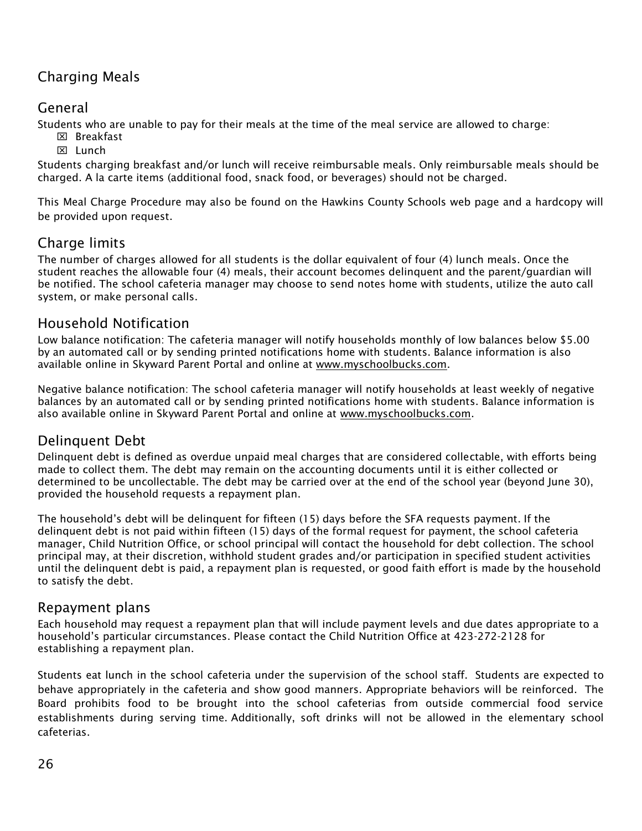## Charging Meals

## General

Students who are unable to pay for their meals at the time of the meal service are allowed to charge:

- $\boxtimes$  Breakfast
- **M** Lunch

Students charging breakfast and/or lunch will receive reimbursable meals. Only reimbursable meals should be charged. A la carte items (additional food, snack food, or beverages) should not be charged.

This Meal Charge Procedure may also be found on the Hawkins County Schools web page and a hardcopy will be provided upon request.

## Charge limits

The number of charges allowed for all students is the dollar equivalent of four (4) lunch meals. Once the student reaches the allowable four (4) meals, their account becomes delinquent and the parent/guardian will be notified. The school cafeteria manager may choose to send notes home with students, utilize the auto call system, or make personal calls.

## Household Notification

Low balance notification: The cafeteria manager will notify households monthly of low balances below \$5.00 by an automated call or by sending printed notifications home with students. Balance information is also available online in Skyward Parent Portal and online at [www.myschoolbucks.com.](http://www.myschoolbucks.com/)

Negative balance notification: The school cafeteria manager will notify households at least weekly of negative balances by an automated call or by sending printed notifications home with students. Balance information is also available online in Skyward Parent Portal and online at [www.myschoolbucks.com.](http://www.myschoolbucks.com/)

## Delinquent Debt

Delinquent debt is defined as overdue unpaid meal charges that are considered collectable, with efforts being made to collect them. The debt may remain on the accounting documents until it is either collected or determined to be uncollectable. The debt may be carried over at the end of the school year (beyond June 30), provided the household requests a repayment plan.

The household's debt will be delinquent for fifteen (15) days before the SFA requests payment. If the delinquent debt is not paid within fifteen (15) days of the formal request for payment, the school cafeteria manager, Child Nutrition Office, or school principal will contact the household for debt collection. The school principal may, at their discretion, withhold student grades and/or participation in specified student activities until the delinquent debt is paid, a repayment plan is requested, or good faith effort is made by the household to satisfy the debt.

## Repayment plans

Each household may request a repayment plan that will include payment levels and due dates appropriate to a household's particular circumstances. Please contact the Child Nutrition Office at 423-272-2128 for establishing a repayment plan.

Students eat lunch in the school cafeteria under the supervision of the school staff. Students are expected to behave appropriately in the cafeteria and show good manners. Appropriate behaviors will be reinforced. The Board prohibits food to be brought into the school cafeterias from outside commercial food service establishments during serving time. Additionally, soft drinks will not be allowed in the elementary school cafeterias.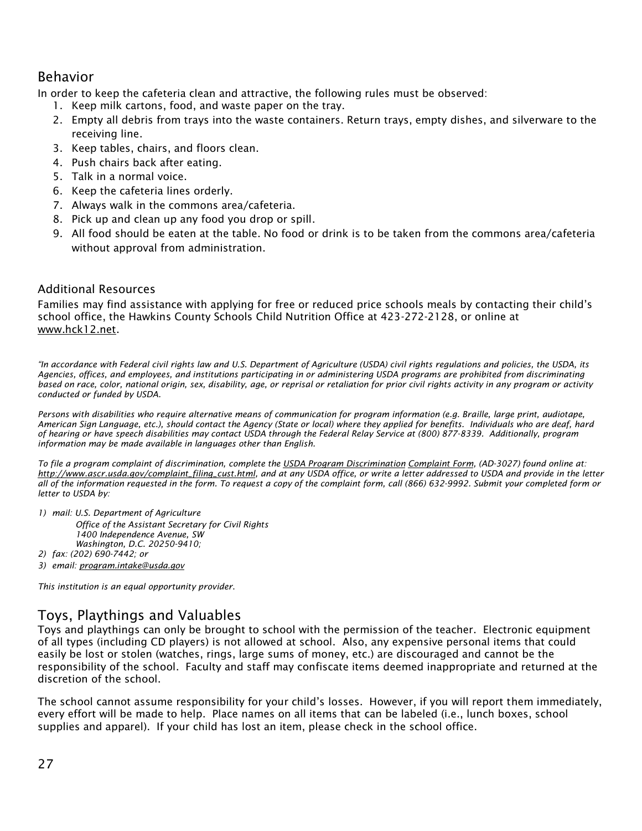## Behavior

In order to keep the cafeteria clean and attractive, the following rules must be observed:

- 1. Keep milk cartons, food, and waste paper on the tray.
- 2. Empty all debris from trays into the waste containers. Return trays, empty dishes, and silverware to the receiving line.
- 3. Keep tables, chairs, and floors clean.
- 4. Push chairs back after eating.
- 5. Talk in a normal voice.
- 6. Keep the cafeteria lines orderly.
- 7. Always walk in the commons area/cafeteria.
- 8. Pick up and clean up any food you drop or spill.
- 9. All food should be eaten at the table. No food or drink is to be taken from the commons area/cafeteria without approval from administration.

#### Additional Resources

Families may find assistance with applying for free or reduced price schools meals by contacting their child's school office, the Hawkins County Schools Child Nutrition Office at 423-272-2128, or online at [www.hck12.net.](http://www.hck12.net/)

*"In accordance with Federal civil rights law and U.S. Department of Agriculture (USDA) civil rights regulations and policies, the USDA, its Agencies, offices, and employees, and institutions participating in or administering USDA programs are prohibited from discriminating based on race, color, national origin, sex, disability, age, or reprisal or retaliation for prior civil rights activity in any program or activity conducted or funded by USDA.*

*Persons with disabilities who require alternative means of communication for program information (e.g. Braille, large print, audiotape, American Sign Language, etc.), should contact the Agency (State or local) where they applied for benefits. Individuals who are deaf, hard of hearing or have speech disabilities may contact USDA through the Federal Relay Service at (800) 877-8339. Additionally, program information may be made available in languages other than English.*

*To file a program complaint of discrimination, complete the USDA [Program Discrimination](http://www.ocio.usda.gov/sites/default/files/docs/2012/Complain_combined_6_8_12.pdf) [Complaint Form,](http://www.ocio.usda.gov/sites/default/files/docs/2012/Complain_combined_6_8_12.pdf) (AD-3027) found online at: [http://www.ascr.usda.gov/complaint\\_filing\\_cust.html,](http://www.ascr.usda.gov/complaint_filing_cust.html) and at any USDA office, or write a letter addressed to USDA and provide in the letter all of the information requested in the form. To request a copy of the complaint form, call (866) 632-9992. Submit your completed form or letter to USDA by:*

- *1) mail: U.S. Department of Agriculture Office of the Assistant Secretary for Civil Rights 1400 Independence Avenue, SW Washington, D.C. 20250-9410;*
- *2) fax: (202) 690-7442; or*
- *3) email: [program.intake@usda.gov](mailto:program.intake@usda.gov)*

<span id="page-27-0"></span>*This institution is an equal opportunity provider*.

## Toys, Playthings and Valuables

Toys and playthings can only be brought to school with the permission of the teacher. Electronic equipment of all types (including CD players) is not allowed at school. Also, any expensive personal items that could easily be lost or stolen (watches, rings, large sums of money, etc.) are discouraged and cannot be the responsibility of the school. Faculty and staff may confiscate items deemed inappropriate and returned at the discretion of the school.

The school cannot assume responsibility for your child's losses. However, if you will report them immediately, every effort will be made to help. Place names on all items that can be labeled (i.e., lunch boxes, school supplies and apparel). If your child has lost an item, please check in the school office.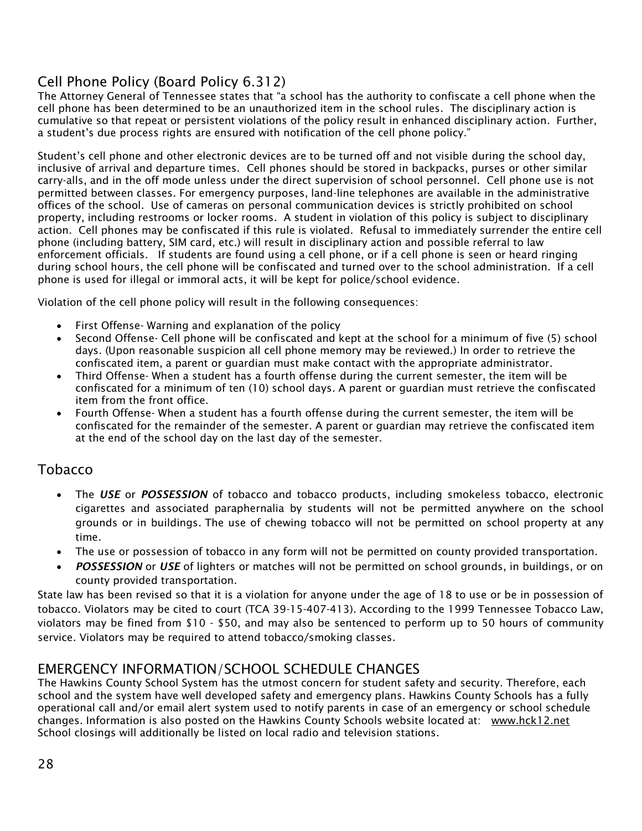## <span id="page-28-0"></span>Cell Phone Policy (Board Policy 6.312)

The Attorney General of Tennessee states that "a school has the authority to confiscate a cell phone when the cell phone has been determined to be an unauthorized item in the school rules. The disciplinary action is cumulative so that repeat or persistent violations of the policy result in enhanced disciplinary action. Further, a student's due process rights are ensured with notification of the cell phone policy."

Student's cell phone and other electronic devices are to be turned off and not visible during the school day, inclusive of arrival and departure times. Cell phones should be stored in backpacks, purses or other similar carry-alls, and in the off mode unless under the direct supervision of school personnel. Cell phone use is not permitted between classes. For emergency purposes, land-line telephones are available in the administrative offices of the school. Use of cameras on personal communication devices is strictly prohibited on school property, including restrooms or locker rooms. A student in violation of this policy is subject to disciplinary action. Cell phones may be confiscated if this rule is violated. Refusal to immediately surrender the entire cell phone (including battery, SIM card, etc.) will result in disciplinary action and possible referral to law enforcement officials. If students are found using a cell phone, or if a cell phone is seen or heard ringing during school hours, the cell phone will be confiscated and turned over to the school administration. If a cell phone is used for illegal or immoral acts, it will be kept for police/school evidence.

Violation of the cell phone policy will result in the following consequences:

- First Offense- Warning and explanation of the policy
- Second Offense- Cell phone will be confiscated and kept at the school for a minimum of five (5) school days. (Upon reasonable suspicion all cell phone memory may be reviewed.) In order to retrieve the confiscated item, a parent or guardian must make contact with the appropriate administrator.
- Third Offense- When a student has a fourth offense during the current semester, the item will be confiscated for a minimum of ten (10) school days. A parent or guardian must retrieve the confiscated item from the front office.
- <span id="page-28-1"></span> Fourth Offense- When a student has a fourth offense during the current semester, the item will be confiscated for the remainder of the semester. A parent or guardian may retrieve the confiscated item at the end of the school day on the last day of the semester.

#### Tobacco

- The *USE* or *POSSESSION* of tobacco and tobacco products, including smokeless tobacco, electronic cigarettes and associated paraphernalia by students will not be permitted anywhere on the school grounds or in buildings. The use of chewing tobacco will not be permitted on school property at any time.
- The use or possession of tobacco in any form will not be permitted on county provided transportation.
- *POSSESSION* or *USE* of lighters or matches will not be permitted on school grounds, in buildings, or on county provided transportation.

State law has been revised so that it is a violation for anyone under the age of 18 to use or be in possession of tobacco. Violators may be cited to court (TCA 39-15-407-413). According to the 1999 Tennessee Tobacco Law, violators may be fined from \$10 - \$50, and may also be sentenced to perform up to 50 hours of community service. Violators may be required to attend tobacco/smoking classes.

#### EMERGENCY INFORMATION/SCHOOL SCHEDULE CHANGES

The Hawkins County School System has the utmost concern for student safety and security. Therefore, each school and the system have well developed safety and emergency plans. Hawkins County Schools has a fully operational call and/or email alert system used to notify parents in case of an emergency or school schedule changes. Information is also posted on the Hawkins County Schools website located at: [www.hck12.net](http://www.hck12.net/)  School closings will additionally be listed on local radio and television stations.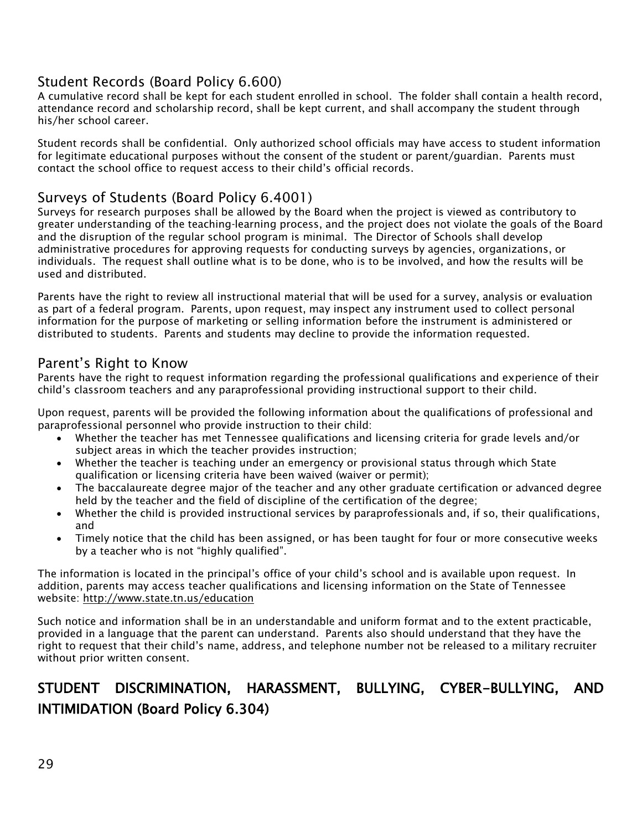## <span id="page-29-0"></span>Student Records (Board Policy 6.600)

A cumulative record shall be kept for each student enrolled in school. The folder shall contain a health record, attendance record and scholarship record, shall be kept current, and shall accompany the student through his/her school career.

Student records shall be confidential. Only authorized school officials may have access to student information for legitimate educational purposes without the consent of the student or parent/guardian. Parents must contact the school office to request access to their child's official records.

## <span id="page-29-1"></span>Surveys of Students (Board Policy 6.4001)

Surveys for research purposes shall be allowed by the Board when the project is viewed as contributory to greater understanding of the teaching-learning process, and the project does not violate the goals of the Board and the disruption of the regular school program is minimal. The Director of Schools shall develop administrative procedures for approving requests for conducting surveys by agencies, organizations, or individuals. The request shall outline what is to be done, who is to be involved, and how the results will be used and distributed.

Parents have the right to review all instructional material that will be used for a survey, analysis or evaluation as part of a federal program. Parents, upon request, may inspect any instrument used to collect personal information for the purpose of marketing or selling information before the instrument is administered or distributed to students. Parents and students may decline to provide the information requested.

## <span id="page-29-2"></span>Parent's Right to Know

Parents have the right to request information regarding the professional qualifications and experience of their child's classroom teachers and any paraprofessional providing instructional support to their child.

Upon request, parents will be provided the following information about the qualifications of professional and paraprofessional personnel who provide instruction to their child:

- Whether the teacher has met Tennessee qualifications and licensing criteria for grade levels and/or subject areas in which the teacher provides instruction;
- Whether the teacher is teaching under an emergency or provisional status through which State qualification or licensing criteria have been waived (waiver or permit);
- The baccalaureate degree major of the teacher and any other graduate certification or advanced degree held by the teacher and the field of discipline of the certification of the degree;
- Whether the child is provided instructional services by paraprofessionals and, if so, their qualifications, and
- Timely notice that the child has been assigned, or has been taught for four or more consecutive weeks by a teacher who is not "highly qualified".

The information is located in the principal's office of your child's school and is available upon request. In addition, parents may access teacher qualifications and licensing information on the State of Tennessee website:<http://www.state.tn.us/education>

Such notice and information shall be in an understandable and uniform format and to the extent practicable, provided in a language that the parent can understand. Parents also should understand that they have the right to request that their child's name, address, and telephone number not be released to a military recruiter without prior written consent.

## <span id="page-29-3"></span>STUDENT DISCRIMINATION, HARASSMENT, BULLYING, CYBER-BULLYING, AND INTIMIDATION (Board Policy 6.304)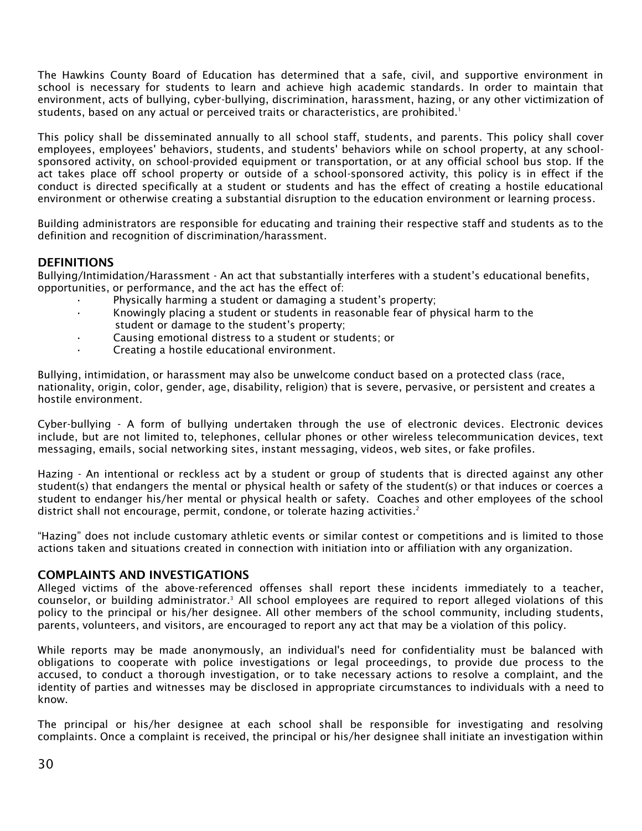The Hawkins County Board of Education has determined that a safe, civil, and supportive environment in school is necessary for students to learn and achieve high academic standards. In order to maintain that environment, acts of bullying, cyber-bullying, discrimination, harassment, hazing, or any other victimization of students, based on any actual or perceived traits or characteristics, are prohibited.<sup>1</sup>

This policy shall be disseminated annually to all school staff, students, and parents. This policy shall cover employees, employees' behaviors, students, and students' behaviors while on school property, at any schoolsponsored activity, on school-provided equipment or transportation, or at any official school bus stop. If the act takes place off school property or outside of a school-sponsored activity, this policy is in effect if the conduct is directed specifically at a student or students and has the effect of creating a hostile educational environment or otherwise creating a substantial disruption to the education environment or learning process.

Building administrators are responsible for educating and training their respective staff and students as to the definition and recognition of discrimination/harassment.

#### **DEFINITIONS**

Bullying/Intimidation/Harassment - An act that substantially interferes with a student's educational benefits, opportunities, or performance, and the act has the effect of:

- Physically harming a student or damaging a student's property;
- Knowingly placing a student or students in reasonable fear of physical harm to the student or damage to the student's property;
- Causing emotional distress to a student or students; or
- Creating a hostile educational environment.

Bullying, intimidation, or harassment may also be unwelcome conduct based on a protected class (race, nationality, origin, color, gender, age, disability, religion) that is severe, pervasive, or persistent and creates a hostile environment.

Cyber-bullying - A form of bullying undertaken through the use of electronic devices. Electronic devices include, but are not limited to, telephones, cellular phones or other wireless telecommunication devices, text messaging, emails, social networking sites, instant messaging, videos, web sites, or fake profiles.

Hazing - An intentional or reckless act by a student or group of students that is directed against any other student(s) that endangers the mental or physical health or safety of the student(s) or that induces or coerces a student to endanger his/her mental or physical health or safety. Coaches and other employees of the school district shall not encourage, permit, condone, or tolerate hazing activities.<sup>2</sup>

"Hazing" does not include customary athletic events or similar contest or competitions and is limited to those actions taken and situations created in connection with initiation into or affiliation with any organization.

#### **COMPLAINTS AND INVESTIGATIONS**

Alleged victims of the above-referenced offenses shall report these incidents immediately to a teacher, counselor, or building administrator.<sup>3</sup> All school employees are required to report alleged violations of this policy to the principal or his/her designee. All other members of the school community, including students, parents, volunteers, and visitors, are encouraged to report any act that may be a violation of this policy.

While reports may be made anonymously, an individual's need for confidentiality must be balanced with obligations to cooperate with police investigations or legal proceedings, to provide due process to the accused, to conduct a thorough investigation, or to take necessary actions to resolve a complaint, and the identity of parties and witnesses may be disclosed in appropriate circumstances to individuals with a need to know.

The principal or his/her designee at each school shall be responsible for investigating and resolving complaints. Once a complaint is received, the principal or his/her designee shall initiate an investigation within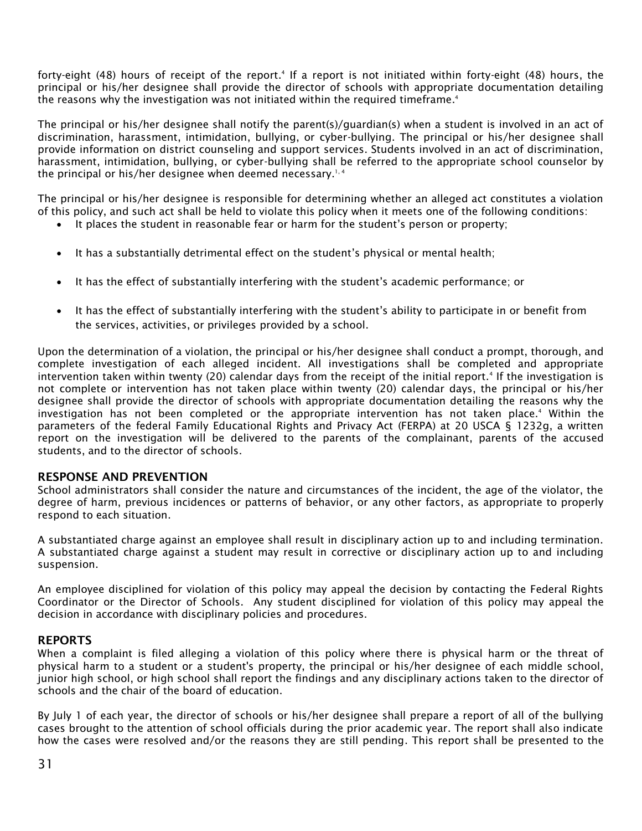forty-eight (48) hours of receipt of the report.<sup>4</sup> If a report is not initiated within forty-eight (48) hours, the principal or his/her designee shall provide the director of schools with appropriate documentation detailing the reasons why the investigation was not initiated within the required timeframe. $^4$ 

The principal or his/her designee shall notify the parent(s)/guardian(s) when a student is involved in an act of discrimination, harassment, intimidation, bullying, or cyber-bullying. The principal or his/her designee shall provide information on district counseling and support services. Students involved in an act of discrimination, harassment, intimidation, bullying, or cyber-bullying shall be referred to the appropriate school counselor by the principal or his/her designee when deemed necessary.<sup>1,4</sup>

The principal or his/her designee is responsible for determining whether an alleged act constitutes a violation of this policy, and such act shall be held to violate this policy when it meets one of the following conditions:

- It places the student in reasonable fear or harm for the student's person or property;
- It has a substantially detrimental effect on the student's physical or mental health;
- It has the effect of substantially interfering with the student's academic performance; or
- It has the effect of substantially interfering with the student's ability to participate in or benefit from the services, activities, or privileges provided by a school.

Upon the determination of a violation, the principal or his/her designee shall conduct a prompt, thorough, and complete investigation of each alleged incident. All investigations shall be completed and appropriate intervention taken within twenty (20) calendar days from the receipt of the initial report.<sup>4</sup> If the investigation is not complete or intervention has not taken place within twenty (20) calendar days, the principal or his/her designee shall provide the director of schools with appropriate documentation detailing the reasons why the investigation has not been completed or the appropriate intervention has not taken place.<sup>4</sup> Within the parameters of the federal Family Educational Rights and Privacy Act (FERPA) at 20 USCA § 1232g, a written report on the investigation will be delivered to the parents of the complainant, parents of the accused students, and to the director of schools.

#### **RESPONSE AND PREVENTION**

School administrators shall consider the nature and circumstances of the incident, the age of the violator, the degree of harm, previous incidences or patterns of behavior, or any other factors, as appropriate to properly respond to each situation.

A substantiated charge against an employee shall result in disciplinary action up to and including termination. A substantiated charge against a student may result in corrective or disciplinary action up to and including suspension.

An employee disciplined for violation of this policy may appeal the decision by contacting the Federal Rights Coordinator or the Director of Schools. Any student disciplined for violation of this policy may appeal the decision in accordance with disciplinary policies and procedures.

#### **REPORTS**

When a complaint is filed alleging a violation of this policy where there is physical harm or the threat of physical harm to a student or a student's property, the principal or his/her designee of each middle school, junior high school, or high school shall report the findings and any disciplinary actions taken to the director of schools and the chair of the board of education.

By July 1 of each year, the director of schools or his/her designee shall prepare a report of all of the bullying cases brought to the attention of school officials during the prior academic year. The report shall also indicate how the cases were resolved and/or the reasons they are still pending. This report shall be presented to the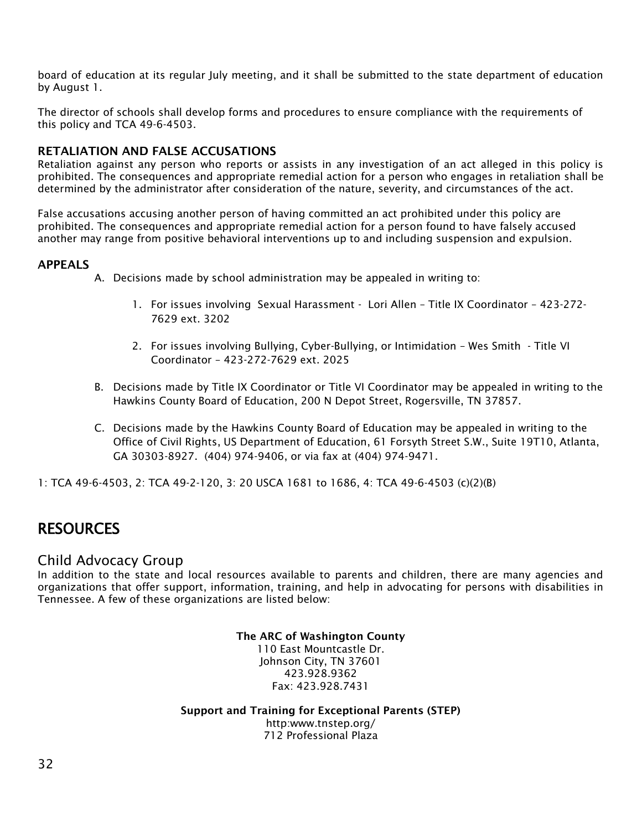board of education at its regular July meeting, and it shall be submitted to the state department of education by August 1.

The director of schools shall develop forms and procedures to ensure compliance with the requirements of this policy and TCA 49-6-4503.

#### **RETALIATION AND FALSE ACCUSATIONS**

Retaliation against any person who reports or assists in any investigation of an act alleged in this policy is prohibited. The consequences and appropriate remedial action for a person who engages in retaliation shall be determined by the administrator after consideration of the nature, severity, and circumstances of the act.

False accusations accusing another person of having committed an act prohibited under this policy are prohibited. The consequences and appropriate remedial action for a person found to have falsely accused another may range from positive behavioral interventions up to and including suspension and expulsion.

#### **APPEALS**

- A. Decisions made by school administration may be appealed in writing to:
	- 1. For issues involving Sexual Harassment Lori Allen Title IX Coordinator 423-272- 7629 ext. 3202
	- 2. For issues involving Bullying, Cyber-Bullying, or Intimidation Wes Smith Title VI Coordinator – 423-272-7629 ext. 2025
- B. Decisions made by Title IX Coordinator or Title VI Coordinator may be appealed in writing to the Hawkins County Board of Education, 200 N Depot Street, Rogersville, TN 37857.
- C. Decisions made by the Hawkins County Board of Education may be appealed in writing to the Office of Civil Rights, US Department of Education, 61 Forsyth Street S.W., Suite 19T10, Atlanta, GA 30303-8927. (404) 974-9406, or via fax at (404) 974-9471.

1: TCA 49-6-4503, 2: TCA 49-2-120, 3: 20 USCA 1681 to 1686, 4: TCA 49-6-4503 (c)(2)(B)

## <span id="page-32-0"></span>**RESOURCES**

#### Child Advocacy Group

In addition to the state and local resources available to parents and children, there are many agencies and organizations that offer support, information, training, and help in advocating for persons with disabilities in Tennessee. A few of these organizations are listed below:

> **The ARC of Washington County** 110 East Mountcastle Dr. Johnson City, TN 37601 423.928.9362 Fax: 423.928.7431

**Support and Training for Exceptional Parents (STEP)** http:www.tnstep.org/ 712 Professional Plaza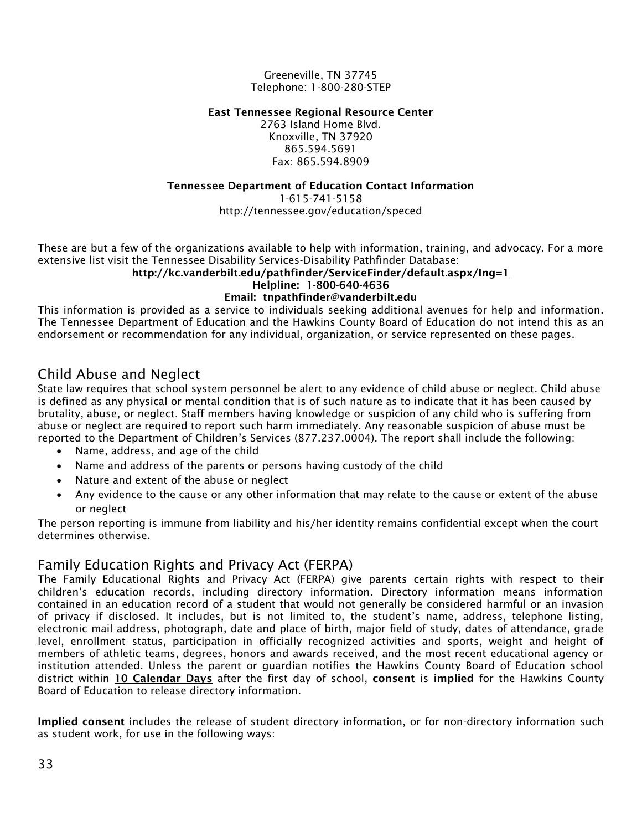Greeneville, TN 37745 Telephone: 1-800-280-STEP

#### **East Tennessee Regional Resource Center**

2763 Island Home Blvd. Knoxville, TN 37920 865.594.5691 Fax: 865.594.8909

#### **Tennessee Department of Education Contact Information**

1-615-741-5158 http://tennessee.gov/education/speced

These are but a few of the organizations available to help with information, training, and advocacy. For a more extensive list visit the Tennessee Disability Services-Disability Pathfinder Database:

#### **<http://kc.vanderbilt.edu/pathfinder/ServiceFinder/default.aspx/Ing=1>**

#### **Helpline: 1-800-640-4636**

#### **Email: tnpathfinder@vanderbilt.edu**

This information is provided as a service to individuals seeking additional avenues for help and information. The Tennessee Department of Education and the Hawkins County Board of Education do not intend this as an endorsement or recommendation for any individual, organization, or service represented on these pages.

## <span id="page-33-0"></span>Child Abuse and Neglect

State law requires that school system personnel be alert to any evidence of child abuse or neglect. Child abuse is defined as any physical or mental condition that is of such nature as to indicate that it has been caused by brutality, abuse, or neglect. Staff members having knowledge or suspicion of any child who is suffering from abuse or neglect are required to report such harm immediately. Any reasonable suspicion of abuse must be reported to the Department of Children's Services (877.237.0004). The report shall include the following:

- Name, address, and age of the child
- Name and address of the parents or persons having custody of the child
- Nature and extent of the abuse or neglect
- Any evidence to the cause or any other information that may relate to the cause or extent of the abuse or neglect

The person reporting is immune from liability and his/her identity remains confidential except when the court determines otherwise.

#### <span id="page-33-1"></span>Family Education Rights and Privacy Act (FERPA)

The Family Educational Rights and Privacy Act (FERPA) give parents certain rights with respect to their children's education records, including directory information. Directory information means information contained in an education record of a student that would not generally be considered harmful or an invasion of privacy if disclosed. It includes, but is not limited to, the student's name, address, telephone listing, electronic mail address, photograph, date and place of birth, major field of study, dates of attendance, grade level, enrollment status, participation in officially recognized activities and sports, weight and height of members of athletic teams, degrees, honors and awards received, and the most recent educational agency or institution attended. Unless the parent or guardian notifies the Hawkins County Board of Education school district within **10 Calendar Days** after the first day of school, **consent** is **implied** for the Hawkins County Board of Education to release directory information.

**Implied consent** includes the release of student directory information, or for non-directory information such as student work, for use in the following ways: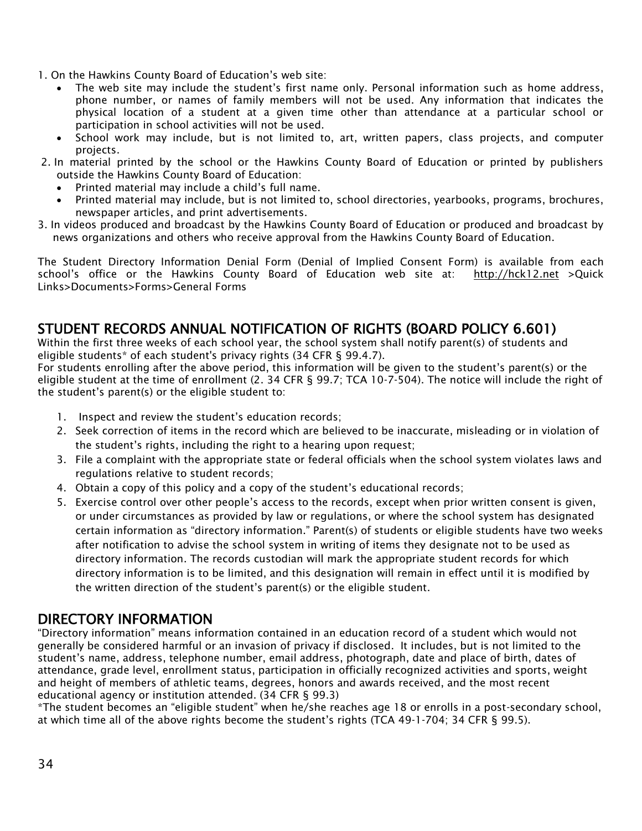- 1. On the Hawkins County Board of Education's web site:
	- The web site may include the student's first name only. Personal information such as home address, phone number, or names of family members will not be used. Any information that indicates the physical location of a student at a given time other than attendance at a particular school or participation in school activities will not be used.
	- School work may include, but is not limited to, art, written papers, class projects, and computer projects.
- 2. In material printed by the school or the Hawkins County Board of Education or printed by publishers outside the Hawkins County Board of Education:
	- Printed material may include a child's full name.
	- Printed material may include, but is not limited to, school directories, yearbooks, programs, brochures, newspaper articles, and print advertisements.
- 3. In videos produced and broadcast by the Hawkins County Board of Education or produced and broadcast by news organizations and others who receive approval from the Hawkins County Board of Education.

The Student Directory Information Denial Form (Denial of Implied Consent Form) is available from each school's office or the Hawkins County Board of Education web site at: [http://hck12.net](http://hck12.net/) >Quick Links>Documents>Forms>General Forms

## STUDENT RECORDS ANNUAL NOTIFICATION OF RIGHTS (BOARD POLICY 6.601)

Within the first three weeks of each school year, the school system shall notify parent(s) of students and eligible students\* of each student's privacy rights (34 CFR § 99.4.7).

For students enrolling after the above period, this information will be given to the student's parent(s) or the eligible student at the time of enrollment (2. 34 CFR § 99.7; TCA 10-7-504). The notice will include the right of the student's parent(s) or the eligible student to:

- 1. Inspect and review the student's education records;
- 2. Seek correction of items in the record which are believed to be inaccurate, misleading or in violation of the student's rights, including the right to a hearing upon request;
- 3. File a complaint with the appropriate state or federal officials when the school system violates laws and regulations relative to student records;
- 4. Obtain a copy of this policy and a copy of the student's educational records;
- 5. Exercise control over other people's access to the records, except when prior written consent is given, or under circumstances as provided by law or regulations, or where the school system has designated certain information as "directory information." Parent(s) of students or eligible students have two weeks after notification to advise the school system in writing of items they designate not to be used as directory information. The records custodian will mark the appropriate student records for which directory information is to be limited, and this designation will remain in effect until it is modified by the written direction of the student's parent(s) or the eligible student.

## DIRECTORY INFORMATION

"Directory information" means information contained in an education record of a student which would not generally be considered harmful or an invasion of privacy if disclosed. It includes, but is not limited to the student's name, address, telephone number, email address, photograph, date and place of birth, dates of attendance, grade level, enrollment status, participation in officially recognized activities and sports, weight and height of members of athletic teams, degrees, honors and awards received, and the most recent educational agency or institution attended. (34 CFR § 99.3)

\*The student becomes an "eligible student" when he/she reaches age 18 or enrolls in a post-secondary school, at which time all of the above rights become the student's rights (TCA 49-1-704; 34 CFR § 99.5).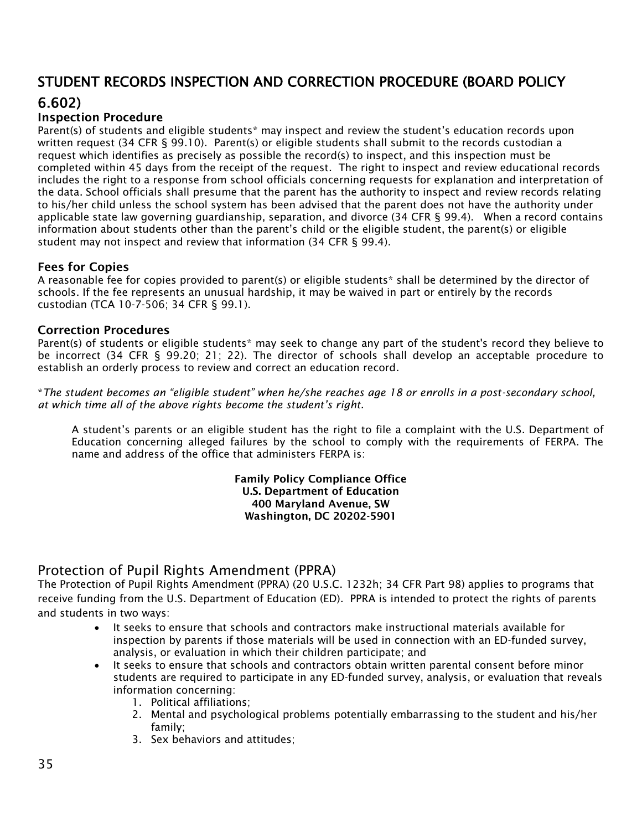## STUDENT RECORDS INSPECTION AND CORRECTION PROCEDURE (BOARD POLICY

## 6.602)

#### **Inspection Procedure**

Parent(s) of students and eligible students\* may inspect and review the student's education records upon written request (34 CFR § 99.10). Parent(s) or eligible students shall submit to the records custodian a request which identifies as precisely as possible the record(s) to inspect, and this inspection must be completed within 45 days from the receipt of the request. The right to inspect and review educational records includes the right to a response from school officials concerning requests for explanation and interpretation of the data. School officials shall presume that the parent has the authority to inspect and review records relating to his/her child unless the school system has been advised that the parent does not have the authority under applicable state law governing guardianship, separation, and divorce (34 CFR § 99.4). When a record contains information about students other than the parent's child or the eligible student, the parent(s) or eligible student may not inspect and review that information (34 CFR § 99.4).

#### **Fees for Copies**

A reasonable fee for copies provided to parent(s) or eligible students\* shall be determined by the director of schools. If the fee represents an unusual hardship, it may be waived in part or entirely by the records custodian (TCA 10-7-506; 34 CFR § 99.1).

#### **Correction Procedures**

Parent(s) of students or eligible students\* may seek to change any part of the student's record they believe to be incorrect (34 CFR § 99.20; 21; 22). The director of schools shall develop an acceptable procedure to establish an orderly process to review and correct an education record.

\**The student becomes an "eligible student" when he/she reaches age 18 or enrolls in a post-secondary school, at which time all of the above rights become the student's right.*

A student's parents or an eligible student has the right to file a complaint with the U.S. Department of Education concerning alleged failures by the school to comply with the requirements of FERPA. The name and address of the office that administers FERPA is:

> **Family Policy Compliance Office U.S. Department of Education 400 Maryland Avenue, SW Washington, DC 20202-5901**

#### <span id="page-35-0"></span>Protection of Pupil Rights Amendment (PPRA)

The Protection of Pupil Rights Amendment (PPRA) (20 U.S.C. 1232h; 34 CFR Part 98) applies to programs that receive funding from the U.S. Department of Education (ED). PPRA is intended to protect the rights of parents and students in two ways:

- It seeks to ensure that schools and contractors make instructional materials available for inspection by parents if those materials will be used in connection with an ED-funded survey, analysis, or evaluation in which their children participate; and
- It seeks to ensure that schools and contractors obtain written parental consent before minor students are required to participate in any ED-funded survey, analysis, or evaluation that reveals information concerning:
	- 1. Political affiliations;
	- 2. Mental and psychological problems potentially embarrassing to the student and his/her family;
	- 3. Sex behaviors and attitudes;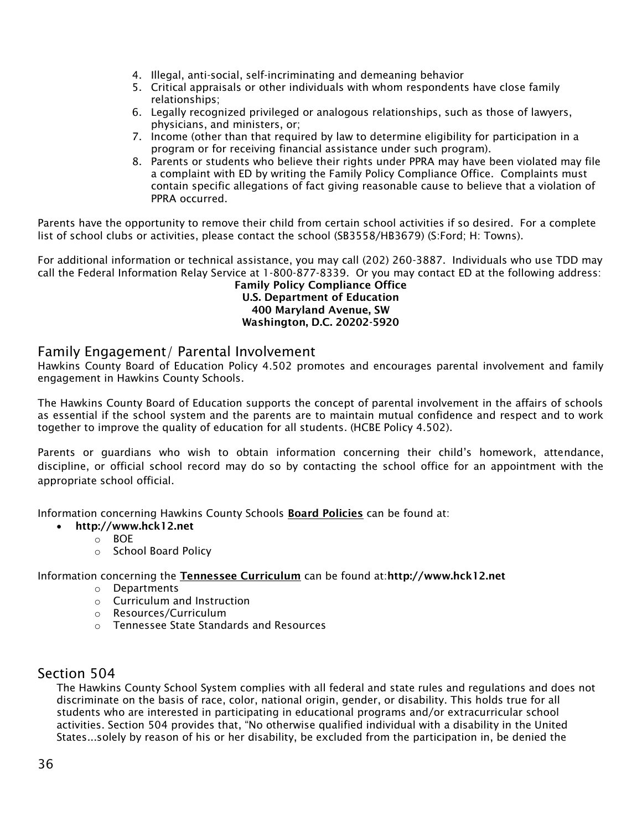- 4. Illegal, anti-social, self-incriminating and demeaning behavior
- 5. Critical appraisals or other individuals with whom respondents have close family relationships;
- 6. Legally recognized privileged or analogous relationships, such as those of lawyers, physicians, and ministers, or;
- 7. Income (other than that required by law to determine eligibility for participation in a program or for receiving financial assistance under such program).
- 8. Parents or students who believe their rights under PPRA may have been violated may file a complaint with ED by writing the Family Policy Compliance Office. Complaints must contain specific allegations of fact giving reasonable cause to believe that a violation of PPRA occurred.

Parents have the opportunity to remove their child from certain school activities if so desired. For a complete list of school clubs or activities, please contact the school (SB3558/HB3679) (S:Ford; H: Towns).

For additional information or technical assistance, you may call (202) 260-3887. Individuals who use TDD may call the Federal Information Relay Service at 1-800-877-8339. Or you may contact ED at the following address:

**Family Policy Compliance Office U.S. Department of Education 400 Maryland Avenue, SW Washington, D.C. 20202-5920**

#### <span id="page-36-0"></span>Family Engagement/ Parental Involvement

Hawkins County Board of Education Policy 4.502 promotes and encourages parental involvement and family engagement in Hawkins County Schools.

The Hawkins County Board of Education supports the concept of parental involvement in the affairs of schools as essential if the school system and the parents are to maintain mutual confidence and respect and to work together to improve the quality of education for all students. (HCBE Policy 4.502).

Parents or guardians who wish to obtain information concerning their child's homework, attendance, discipline, or official school record may do so by contacting the school office for an appointment with the appropriate school official.

Information concerning Hawkins County Schools **Board Policies** can be found at:

- **http://www.hck12.net**
	- o BOE
	- o School Board Policy

Information concerning the **Tennessee Curriculum** can be found at:**http://www.hck12.net**

- o Departments
- o Curriculum and Instruction
- o Resources/Curriculum
- o Tennessee State Standards and Resources

#### <span id="page-36-1"></span>Section 504

The Hawkins County School System complies with all federal and state rules and regulations and does not discriminate on the basis of race, color, national origin, gender, or disability. This holds true for all students who are interested in participating in educational programs and/or extracurricular school activities. Section 504 provides that, "No otherwise qualified individual with a disability in the United States...solely by reason of his or her disability, be excluded from the participation in, be denied the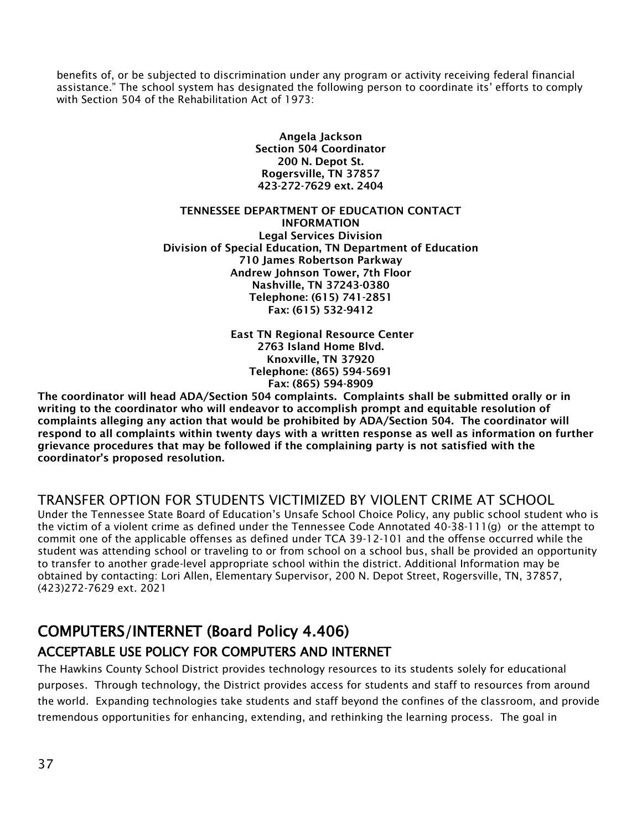benefits of, or be subjected to discrimination under any program or activity receiving federal financial assistance." The school system has designated the following person to coordinate its' efforts to comply with Section 504 of the Rehabilitation Act of 1973:

> **Angela Jackson Section 504 Coordinator 200 N. Depot St. Rogersville, TN 37857 423-272-7629 ext. 2404**

#### **TENNESSEE DEPARTMENT OF EDUCATION CONTACT INFORMATION Legal Services Division Division of Special Education, TN Department of Education 710 James Robertson Parkway Andrew Johnson Tower, 7th Floor Nashville, TN 37243-0380 Telephone: (615) 741-2851**

**East TN Regional Resource Center 2763 Island Home Blvd. Knoxville, TN 37920 Telephone: (865) 594-5691 Fax: (865) 594-8909**

**Fax: (615) 532-9412**

**The coordinator will head ADA/Section 504 complaints. Complaints shall be submitted orally or in writing to the coordinator who will endeavor to accomplish prompt and equitable resolution of complaints alleging any action that would be prohibited by ADA/Section 504. The coordinator will respond to all complaints within twenty days with a written response as well as information on further grievance procedures that may be followed if the complaining party is not satisfied with the coordinator's proposed resolution.**

#### <span id="page-37-0"></span>TRANSFER OPTION FOR STUDENTS VICTIMIZED BY VIOLENT CRIME AT SCHOOL

Under the Tennessee State Board of Education's Unsafe School Choice Policy, any public school student who is the victim of a violent crime as defined under the Tennessee Code Annotated 40-38-111(g) or the attempt to commit one of the applicable offenses as defined under TCA 39-12-101 and the offense occurred while the student was attending school or traveling to or from school on a school bus, shall be provided an opportunity to transfer to another grade-level appropriate school within the district. Additional Information may be obtained by contacting: Lori Allen, Elementary Supervisor, 200 N. Depot Street, Rogersville, TN, 37857, (423)272-7629 ext. 2021

## COMPUTERS/INTERNET (Board Policy 4.406) ACCEPTABLE USE POLICY FOR COMPUTERS AND INTERNET

The Hawkins County School District provides technology resources to its students solely for educational purposes. Through technology, the District provides access for students and staff to resources from around the world. Expanding technologies take students and staff beyond the confines of the classroom, and provide tremendous opportunities for enhancing, extending, and rethinking the learning process. The goal in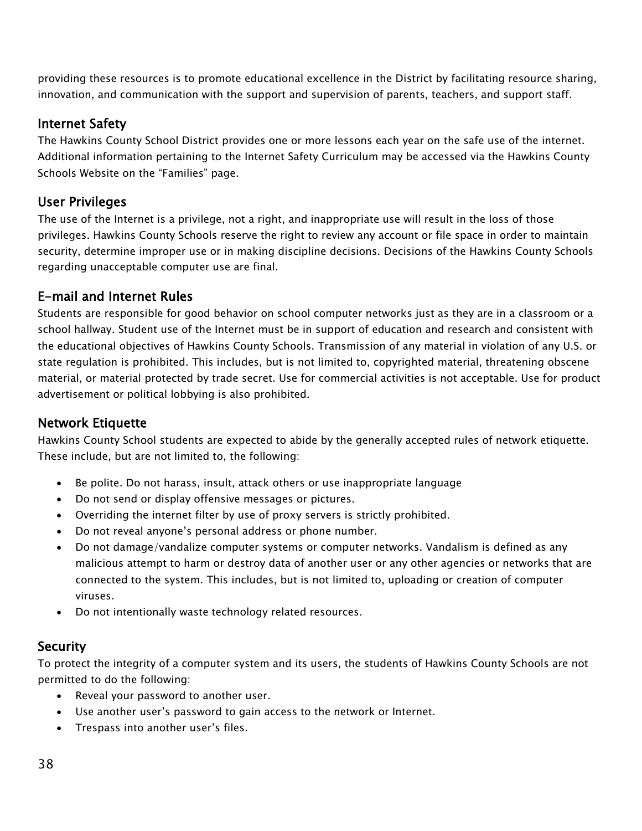providing these resources is to promote educational excellence in the District by facilitating resource sharing, innovation, and communication with the support and supervision of parents, teachers, and support staff.

## Internet Safety

The Hawkins County School District provides one or more lessons each year on the safe use of the internet. Additional information pertaining to the [Internet Safety Curriculum](http://www.hck12.net/Default.asp?L=0&LMID=&PN=Pages&DivisionID=&DepartmentID=&SubDepartmentID=&SubP=Level2&PageID=20893&SubPageID=22393) may be accessed via the Hawkins County Schools Website on the ["Families" page](http://www.hck12.net/Default.asp?L=0&LMID=&PN=Pages&DivisionID=&DepartmentID=&SubDepartmentID=&SubP=Level2&PageID=20893&SubPageID=22393).

## User Privileges

The use of the Internet is a privilege, not a right, and inappropriate use will result in the loss of those privileges. Hawkins County Schools reserve the right to review any account or file space in order to maintain security, determine improper use or in making discipline decisions. Decisions of the Hawkins County Schools regarding unacceptable computer use are final.

## E-mail and Internet Rules

Students are responsible for good behavior on school computer networks just as they are in a classroom or a school hallway. Student use of the Internet must be in support of education and research and consistent with the educational objectives of Hawkins County Schools. Transmission of any material in violation of any U.S. or state regulation is prohibited. This includes, but is not limited to, copyrighted material, threatening obscene material, or material protected by trade secret. Use for commercial activities is not acceptable. Use for product advertisement or political lobbying is also prohibited.

## Network Etiquette

Hawkins County School students are expected to abide by the generally accepted rules of network etiquette. These include, but are not limited to, the following:

- Be polite. Do not harass, insult, attack others or use inappropriate language
- Do not send or display offensive messages or pictures.
- Overriding the internet filter by use of proxy servers is strictly prohibited.
- Do not reveal anyone's personal address or phone number.
- Do not damage/vandalize computer systems or computer networks. Vandalism is defined as any malicious attempt to harm or destroy data of another user or any other agencies or networks that are connected to the system. This includes, but is not limited to, uploading or creation of computer viruses.
- Do not intentionally waste technology related resources.

#### **Security**

To protect the integrity of a computer system and its users, the students of Hawkins County Schools are not permitted to do the following:

- Reveal your password to another user.
- Use another user's password to gain access to the network or Internet.
- Trespass into another user's files.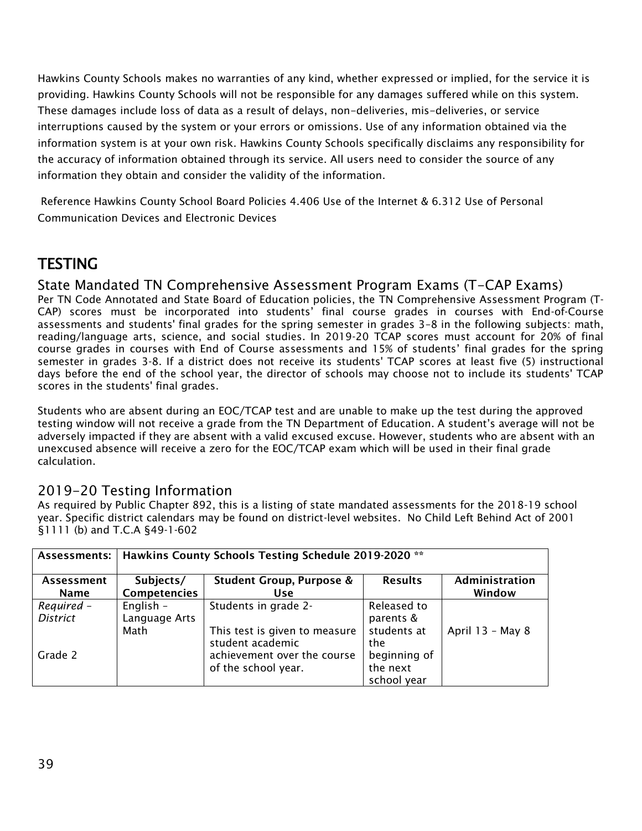Hawkins County Schools makes no warranties of any kind, whether expressed or implied, for the service it is providing. Hawkins County Schools will not be responsible for any damages suffered while on this system. These damages include loss of data as a result of delays, non-deliveries, mis-deliveries, or service interruptions caused by the system or your errors or omissions. Use of any information obtained via the information system is at your own risk. Hawkins County Schools specifically disclaims any responsibility for the accuracy of information obtained through its service. All users need to consider the source of any information they obtain and consider the validity of the information.

<span id="page-39-0"></span>Reference Hawkins County School Board Policies [4.406 Use of the Internet](http://images.pcmac.org/Uploads/TennesseeSBA/TennesseeSBA/Departments/DocumentsCategories/Documents/6312-H.pdf) & [6.312 Use of Personal](http://images.pcmac.org/Uploads/TennesseeSBA/TennesseeSBA/Departments/DocumentsCategories/Documents/6312-H.pdf)  [Communication Devices and Electronic Devices](http://images.pcmac.org/Uploads/TennesseeSBA/TennesseeSBA/Departments/DocumentsCategories/Documents/6312-H.pdf)

## **TESTING**

## State Mandated TN Comprehensive Assessment Program Exams (T-CAP Exams)

Per TN Code Annotated and State Board of Education policies, the TN Comprehensive Assessment Program (T-CAP) scores must be incorporated into students' final course grades in courses with End-of-Course assessments and students' final grades for the spring semester in grades 3–8 in the following subjects: math, reading/language arts, science, and social studies. In 2019-20 TCAP scores must account for 20% of final course grades in courses with End of Course assessments and 15% of students' final grades for the spring semester in grades 3-8. If a district does not receive its students' TCAP scores at least five (5) instructional days before the end of the school year, the director of schools may choose not to include its students' TCAP scores in the students' final grades.

Students who are absent during an EOC/TCAP test and are unable to make up the test during the approved testing window will not receive a grade from the TN Department of Education. A student's average will not be adversely impacted if they are absent with a valid excused excuse. However, students who are absent with an unexcused absence will receive a zero for the EOC/TCAP exam which will be used in their final grade calculation.

## 2019-20 Testing Information

As required by Public Chapter 892, this is a listing of state mandated assessments for the 2018-19 school year. Specific district calendars may be found on district-level websites. No Child Left Behind Act of 2001 §1111 (b) and T.C.A §49-1-602

| Assessments:    | Hawkins County Schools Testing Schedule 2019-2020 ** |                                     |                |                  |
|-----------------|------------------------------------------------------|-------------------------------------|----------------|------------------|
| Assessment      | Subjects/                                            | <b>Student Group, Purpose &amp;</b> | <b>Results</b> | Administration   |
| <b>Name</b>     | Competencies                                         | <b>Use</b>                          |                | Window           |
| Required -      | English -                                            | Students in grade 2-                | Released to    |                  |
| <b>District</b> | Language Arts                                        |                                     | parents &      |                  |
|                 | Math                                                 | This test is given to measure       | students at    | April 13 - May 8 |
|                 |                                                      | student academic                    | the            |                  |
| Grade 2         |                                                      | achievement over the course         | beginning of   |                  |
|                 |                                                      | of the school year.                 | the next       |                  |
|                 |                                                      |                                     | school year    |                  |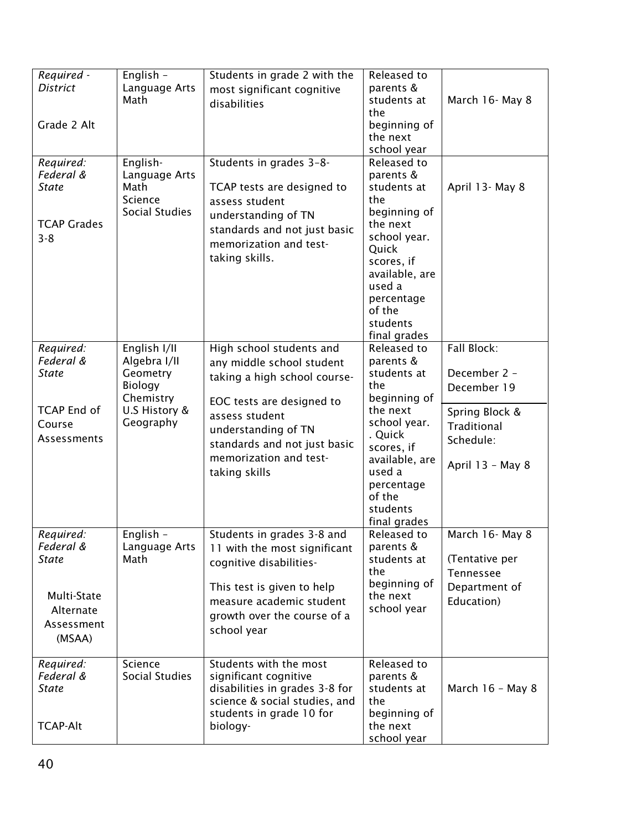| Required -<br><b>District</b> | English -                  | Students in grade 2 with the                            | Released to              |                             |
|-------------------------------|----------------------------|---------------------------------------------------------|--------------------------|-----------------------------|
|                               | Language Arts<br>Math      | most significant cognitive<br>disabilities              | parents &<br>students at | March 16- May 8             |
|                               |                            |                                                         | the                      |                             |
| Grade 2 Alt                   |                            |                                                         | beginning of             |                             |
|                               |                            |                                                         | the next                 |                             |
|                               |                            |                                                         | school year              |                             |
| Required:<br>Federal &        | English-<br>Language Arts  | Students in grades 3-8-                                 | Released to<br>parents & |                             |
| <b>State</b>                  | Math                       | TCAP tests are designed to                              | students at              | April 13- May 8             |
|                               | Science                    | assess student                                          | the                      |                             |
|                               | Social Studies             | understanding of TN                                     | beginning of             |                             |
| <b>TCAP Grades</b>            |                            | standards and not just basic                            | the next                 |                             |
| $3 - 8$                       |                            | memorization and test-                                  | school year.<br>Quick    |                             |
|                               |                            | taking skills.                                          | scores, if               |                             |
|                               |                            |                                                         | available, are           |                             |
|                               |                            |                                                         | used a                   |                             |
|                               |                            |                                                         | percentage               |                             |
|                               |                            |                                                         | of the                   |                             |
|                               |                            |                                                         | students<br>final grades |                             |
| Required:                     | English I/II               | High school students and                                | Released to              | Fall Block:                 |
| Federal &                     | Algebra I/II               | any middle school student                               | parents &                |                             |
| State                         | Geometry                   | taking a high school course-                            | students at              | December 2 -                |
|                               | Biology                    |                                                         | the                      | December 19                 |
| <b>TCAP End of</b>            | Chemistry<br>U.S History & | EOC tests are designed to                               | beginning of<br>the next |                             |
| Course                        | Geography                  | assess student                                          | school year.             | Spring Block &              |
| Assessments                   |                            | understanding of TN                                     | . Quick                  | Traditional                 |
|                               |                            | standards and not just basic                            | scores, if               | Schedule:                   |
|                               |                            | memorization and test-                                  | available, are           | April 13 - May 8            |
|                               |                            | taking skills                                           | used a                   |                             |
|                               |                            |                                                         | percentage<br>of the     |                             |
|                               |                            |                                                         | students                 |                             |
|                               |                            |                                                         | final grades             |                             |
| Required:                     | English -                  | Students in grades 3-8 and                              | Released to              | March 16- May 8             |
| Federal &                     | Language Arts              | 11 with the most significant                            | parents &                |                             |
| <b>State</b>                  | Math                       | cognitive disabilities-                                 | students at<br>the       | (Tentative per<br>Tennessee |
|                               |                            | This test is given to help                              | beginning of             | Department of               |
| Multi-State                   |                            | measure academic student                                | the next                 | Education)                  |
| Alternate                     |                            | growth over the course of a                             | school year              |                             |
| Assessment                    |                            | school year                                             |                          |                             |
| (MSAA)                        |                            |                                                         |                          |                             |
|                               |                            |                                                         |                          |                             |
| Required:                     | Science                    | Students with the most                                  | Released to              |                             |
| Federal &<br><b>State</b>     | Social Studies             | significant cognitive<br>disabilities in grades 3-8 for | parents &<br>students at | March 16 - May 8            |
|                               |                            | science & social studies, and                           | the                      |                             |
|                               |                            | students in grade 10 for                                | beginning of             |                             |
| <b>TCAP-Alt</b>               |                            | biology-                                                | the next                 |                             |
|                               |                            |                                                         | school year              |                             |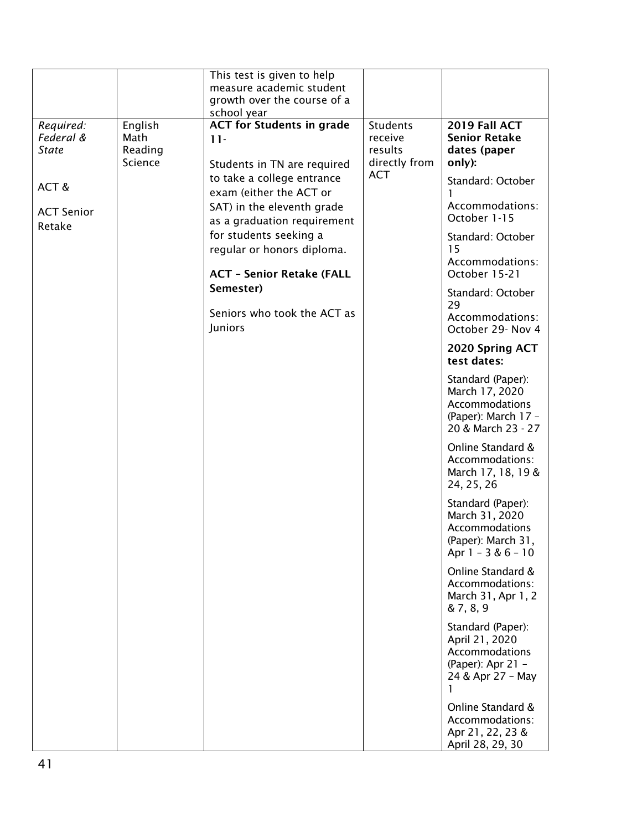|                           |                    | This test is given to help                            |                    |                                         |
|---------------------------|--------------------|-------------------------------------------------------|--------------------|-----------------------------------------|
|                           |                    | measure academic student                              |                    |                                         |
|                           |                    | growth over the course of a                           |                    |                                         |
|                           |                    | school year                                           |                    |                                         |
| Required:                 | English            | <b>ACT for Students in grade</b>                      | <b>Students</b>    | 2019 Fall ACT                           |
| Federal &<br><b>State</b> | Math               | $11 -$                                                | receive<br>results | <b>Senior Retake</b>                    |
|                           | Reading<br>Science |                                                       | directly from      | dates (paper<br>only):                  |
|                           |                    | Students in TN are required                           | <b>ACT</b>         |                                         |
| ACT&                      |                    | to take a college entrance<br>exam (either the ACT or |                    | Standard: October                       |
|                           |                    |                                                       |                    | Accommodations:                         |
| <b>ACT Senior</b>         |                    | SAT) in the eleventh grade                            |                    | October 1-15                            |
| Retake                    |                    | as a graduation requirement                           |                    |                                         |
|                           |                    | for students seeking a<br>regular or honors diploma.  |                    | Standard: October<br>15                 |
|                           |                    | <b>ACT - Senior Retake (FALL</b>                      |                    | Accommodations:<br>October 15-21        |
|                           |                    | Semester)                                             |                    |                                         |
|                           |                    |                                                       |                    | Standard: October<br>29                 |
|                           |                    | Seniors who took the ACT as                           |                    | Accommodations:                         |
|                           |                    | Juniors                                               |                    | October 29- Nov 4                       |
|                           |                    |                                                       |                    | 2020 Spring ACT<br>test dates:          |
|                           |                    |                                                       |                    | Standard (Paper):                       |
|                           |                    |                                                       |                    | March 17, 2020                          |
|                           |                    |                                                       |                    | <b>Accommodations</b>                   |
|                           |                    |                                                       |                    | (Paper): March 17 -                     |
|                           |                    |                                                       |                    | 20 & March 23 - 27                      |
|                           |                    |                                                       |                    | Online Standard &                       |
|                           |                    |                                                       |                    | Accommodations:                         |
|                           |                    |                                                       |                    | March 17, 18, 19 &<br>24, 25, 26        |
|                           |                    |                                                       |                    |                                         |
|                           |                    |                                                       |                    | Standard (Paper):                       |
|                           |                    |                                                       |                    | March 31, 2020<br><b>Accommodations</b> |
|                           |                    |                                                       |                    | (Paper): March 31,                      |
|                           |                    |                                                       |                    | Apr $1 - 3 & 6 - 10$                    |
|                           |                    |                                                       |                    | Online Standard &                       |
|                           |                    |                                                       |                    | Accommodations:                         |
|                           |                    |                                                       |                    | March 31, Apr 1, 2                      |
|                           |                    |                                                       |                    | & 7, 8, 9                               |
|                           |                    |                                                       |                    | Standard (Paper):                       |
|                           |                    |                                                       |                    | April 21, 2020                          |
|                           |                    |                                                       |                    | Accommodations                          |
|                           |                    |                                                       |                    | (Paper): Apr 21 -                       |
|                           |                    |                                                       |                    | 24 & Apr 27 - May<br>1                  |
|                           |                    |                                                       |                    |                                         |
|                           |                    |                                                       |                    | Online Standard &                       |
|                           |                    |                                                       |                    | Accommodations:<br>Apr 21, 22, 23 &     |
|                           |                    |                                                       |                    | April 28, 29, 30                        |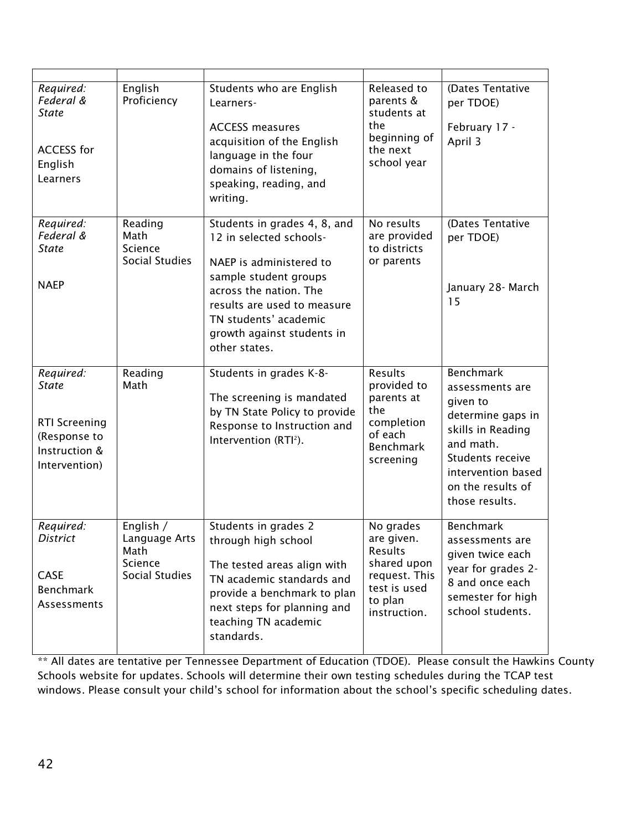| Required:<br>Federal &<br><b>State</b><br><b>ACCESS for</b><br>English<br>Learners                  | English<br>Proficiency                                                 | Students who are English<br>Learners-<br><b>ACCESS measures</b><br>acquisition of the English<br>language in the four<br>domains of listening,<br>speaking, reading, and<br>writing.                                                         | Released to<br>parents &<br>students at<br>the<br>beginning of<br>the next<br>school year                     | (Dates Tentative<br>per TDOE)<br>February 17 -<br>April 3                                                                                                                               |
|-----------------------------------------------------------------------------------------------------|------------------------------------------------------------------------|----------------------------------------------------------------------------------------------------------------------------------------------------------------------------------------------------------------------------------------------|---------------------------------------------------------------------------------------------------------------|-----------------------------------------------------------------------------------------------------------------------------------------------------------------------------------------|
| Required:<br>Federal &<br><b>State</b><br><b>NAEP</b>                                               | Reading<br>Math<br>Science<br><b>Social Studies</b>                    | Students in grades 4, 8, and<br>12 in selected schools-<br>NAEP is administered to<br>sample student groups<br>across the nation. The<br>results are used to measure<br>TN students' academic<br>growth against students in<br>other states. | No results<br>are provided<br>to districts<br>or parents                                                      | (Dates Tentative<br>per TDOE)<br>January 28- March<br>15                                                                                                                                |
| Required:<br><b>State</b><br><b>RTI Screening</b><br>(Response to<br>Instruction &<br>Intervention) | Reading<br>Math                                                        | Students in grades K-8-<br>The screening is mandated<br>by TN State Policy to provide<br>Response to Instruction and<br>Intervention (RTI <sup>2</sup> ).                                                                                    | Results<br>provided to<br>parents at<br>the<br>completion<br>of each<br><b>Benchmark</b><br>screening         | <b>Benchmark</b><br>assessments are<br>given to<br>determine gaps in<br>skills in Reading<br>and math.<br>Students receive<br>intervention based<br>on the results of<br>those results. |
| Required:<br>District<br><b>CASE</b><br><b>Benchmark</b><br>Assessments                             | English /<br>Language Arts<br>Math<br>Science<br><b>Social Studies</b> | Students in grades 2<br>through high school<br>The tested areas align with<br>TN academic standards and<br>provide a benchmark to plan<br>next steps for planning and<br>teaching TN academic<br>standards.                                  | No grades<br>are given.<br>Results<br>shared upon<br>request. This<br>test is used<br>to plan<br>instruction. | <b>Benchmark</b><br>assessments are<br>given twice each<br>year for grades 2-<br>8 and once each<br>semester for high<br>school students.                                               |

\*\* All dates are tentative per Tennessee Department of Education (TDOE). Please consult the Hawkins County Schools website for updates. Schools will determine their own testing schedules during the TCAP test windows. Please consult your child's school for information about the school's specific scheduling dates.